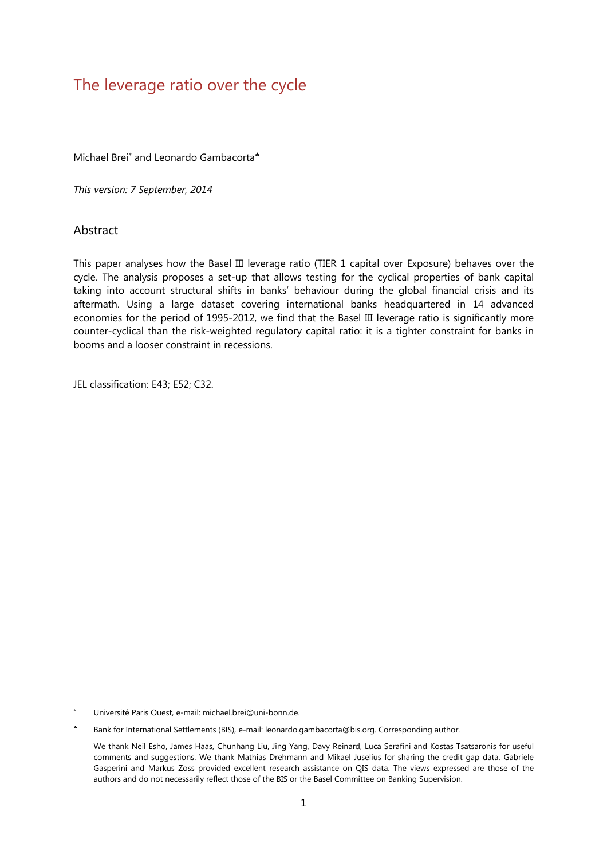# The leverage ratio over the cycle

Michael Brei<sup>\*</sup> and Leonardo Gambacorta<sup>\*</sup>

*This version: 7 September, 2014* 

### **Abstract**

This paper analyses how the Basel III leverage ratio (TIER 1 capital over Exposure) behaves over the cycle. The analysis proposes a set-up that allows testing for the cyclical properties of bank capital taking into account structural shifts in banks' behaviour during the global financial crisis and its aftermath. Using a large dataset covering international banks headquartered in 14 advanced economies for the period of 1995-2012, we find that the Basel III leverage ratio is significantly more counter-cyclical than the risk-weighted regulatory capital ratio: it is a tighter constraint for banks in booms and a looser constraint in recessions.

JEL classification: E43; E52; C32.

\* Université Paris Ouest, e-mail: michael.brei@uni-bonn.de.

Bank for International Settlements (BIS), e-mail: leonardo.gambacorta@bis.org. Corresponding author.

 We thank Neil Esho, James Haas, Chunhang Liu, Jing Yang, Davy Reinard, Luca Serafini and Kostas Tsatsaronis for useful comments and suggestions. We thank Mathias Drehmann and Mikael Juselius for sharing the credit gap data. Gabriele Gasperini and Markus Zoss provided excellent research assistance on QIS data. The views expressed are those of the authors and do not necessarily reflect those of the BIS or the Basel Committee on Banking Supervision.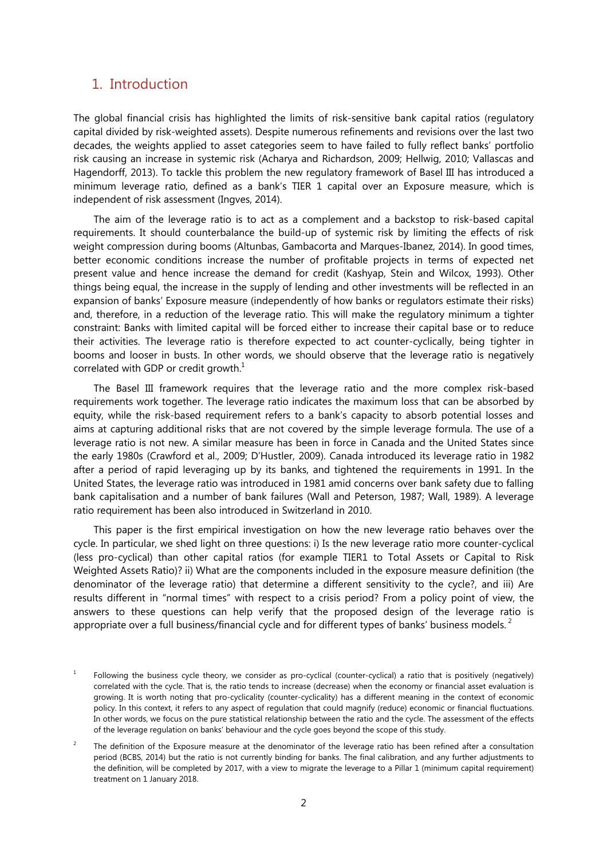## 1. Introduction

The global financial crisis has highlighted the limits of risk-sensitive bank capital ratios (regulatory capital divided by risk-weighted assets). Despite numerous refinements and revisions over the last two decades, the weights applied to asset categories seem to have failed to fully reflect banks' portfolio risk causing an increase in systemic risk (Acharya and Richardson, 2009; Hellwig, 2010; Vallascas and Hagendorff, 2013). To tackle this problem the new regulatory framework of Basel III has introduced a minimum leverage ratio, defined as a bank's TIER 1 capital over an Exposure measure, which is independent of risk assessment (Ingves, 2014).

The aim of the leverage ratio is to act as a complement and a backstop to risk-based capital requirements. It should counterbalance the build-up of systemic risk by limiting the effects of risk weight compression during booms (Altunbas, Gambacorta and Marques-Ibanez, 2014). In good times, better economic conditions increase the number of profitable projects in terms of expected net present value and hence increase the demand for credit (Kashyap, Stein and Wilcox, 1993). Other things being equal, the increase in the supply of lending and other investments will be reflected in an expansion of banks' Exposure measure (independently of how banks or regulators estimate their risks) and, therefore, in a reduction of the leverage ratio. This will make the regulatory minimum a tighter constraint: Banks with limited capital will be forced either to increase their capital base or to reduce their activities. The leverage ratio is therefore expected to act counter-cyclically, being tighter in booms and looser in busts. In other words, we should observe that the leverage ratio is negatively correlated with GDP or credit growth. $^{1}$ 

The Basel III framework requires that the leverage ratio and the more complex risk-based requirements work together. The leverage ratio indicates the maximum loss that can be absorbed by equity, while the risk-based requirement refers to a bank's capacity to absorb potential losses and aims at capturing additional risks that are not covered by the simple leverage formula. The use of a leverage ratio is not new. A similar measure has been in force in Canada and the United States since the early 1980s (Crawford et al., 2009; D'Hustler, 2009). Canada introduced its leverage ratio in 1982 after a period of rapid leveraging up by its banks, and tightened the requirements in 1991. In the United States, the leverage ratio was introduced in 1981 amid concerns over bank safety due to falling bank capitalisation and a number of bank failures (Wall and Peterson, 1987; Wall, 1989). A leverage ratio requirement has been also introduced in Switzerland in 2010.

This paper is the first empirical investigation on how the new leverage ratio behaves over the cycle. In particular, we shed light on three questions: i) Is the new leverage ratio more counter-cyclical (less pro-cyclical) than other capital ratios (for example TIER1 to Total Assets or Capital to Risk Weighted Assets Ratio)? ii) What are the components included in the exposure measure definition (the denominator of the leverage ratio) that determine a different sensitivity to the cycle?, and iii) Are results different in "normal times" with respect to a crisis period? From a policy point of view, the answers to these questions can help verify that the proposed design of the leverage ratio is appropriate over a full business/financial cycle and for different types of banks' business models.<sup>2</sup>

<sup>1</sup> Following the business cycle theory, we consider as pro-cyclical (counter-cyclical) a ratio that is positively (negatively) correlated with the cycle. That is, the ratio tends to increase (decrease) when the economy or financial asset evaluation is growing. It is worth noting that pro-cyclicality (counter-cyclicality) has a different meaning in the context of economic policy. In this context, it refers to any aspect of regulation that could magnify (reduce) economic or financial fluctuations. In other words, we focus on the pure statistical relationship between the ratio and the cycle. The assessment of the effects of the leverage regulation on banks' behaviour and the cycle goes beyond the scope of this study.

 $\overline{2}$  The definition of the Exposure measure at the denominator of the leverage ratio has been refined after a consultation period (BCBS, 2014) but the ratio is not currently binding for banks. The final calibration, and any further adjustments to the definition, will be completed by 2017, with a view to migrate the leverage to a Pillar 1 (minimum capital requirement) treatment on 1 January 2018.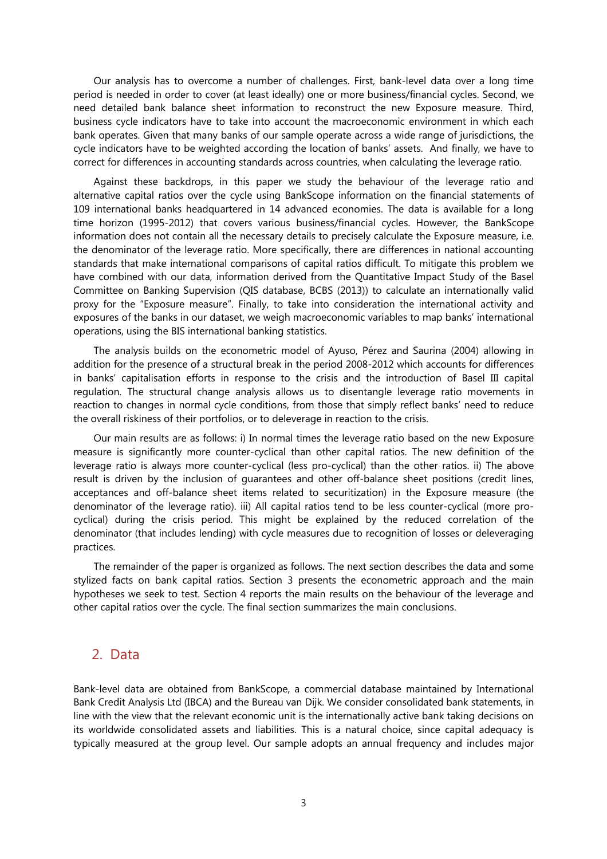Our analysis has to overcome a number of challenges. First, bank-level data over a long time period is needed in order to cover (at least ideally) one or more business/financial cycles. Second, we need detailed bank balance sheet information to reconstruct the new Exposure measure. Third, business cycle indicators have to take into account the macroeconomic environment in which each bank operates. Given that many banks of our sample operate across a wide range of jurisdictions, the cycle indicators have to be weighted according the location of banks' assets. And finally, we have to correct for differences in accounting standards across countries, when calculating the leverage ratio.

Against these backdrops, in this paper we study the behaviour of the leverage ratio and alternative capital ratios over the cycle using BankScope information on the financial statements of 109 international banks headquartered in 14 advanced economies. The data is available for a long time horizon (1995-2012) that covers various business/financial cycles. However, the BankScope information does not contain all the necessary details to precisely calculate the Exposure measure, i.e. the denominator of the leverage ratio. More specifically, there are differences in national accounting standards that make international comparisons of capital ratios difficult. To mitigate this problem we have combined with our data, information derived from the Quantitative Impact Study of the Basel Committee on Banking Supervision (QIS database, BCBS (2013)) to calculate an internationally valid proxy for the "Exposure measure". Finally, to take into consideration the international activity and exposures of the banks in our dataset, we weigh macroeconomic variables to map banks' international operations, using the BIS international banking statistics.

The analysis builds on the econometric model of Ayuso, Pérez and Saurina (2004) allowing in addition for the presence of a structural break in the period 2008-2012 which accounts for differences in banks' capitalisation efforts in response to the crisis and the introduction of Basel III capital regulation. The structural change analysis allows us to disentangle leverage ratio movements in reaction to changes in normal cycle conditions, from those that simply reflect banks' need to reduce the overall riskiness of their portfolios, or to deleverage in reaction to the crisis.

Our main results are as follows: i) In normal times the leverage ratio based on the new Exposure measure is significantly more counter-cyclical than other capital ratios. The new definition of the leverage ratio is always more counter-cyclical (less pro-cyclical) than the other ratios. ii) The above result is driven by the inclusion of guarantees and other off-balance sheet positions (credit lines, acceptances and off-balance sheet items related to securitization) in the Exposure measure (the denominator of the leverage ratio). iii) All capital ratios tend to be less counter-cyclical (more procyclical) during the crisis period. This might be explained by the reduced correlation of the denominator (that includes lending) with cycle measures due to recognition of losses or deleveraging practices.

The remainder of the paper is organized as follows. The next section describes the data and some stylized facts on bank capital ratios. Section 3 presents the econometric approach and the main hypotheses we seek to test. Section 4 reports the main results on the behaviour of the leverage and other capital ratios over the cycle. The final section summarizes the main conclusions.

## 2. Data

Bank-level data are obtained from BankScope, a commercial database maintained by International Bank Credit Analysis Ltd (IBCA) and the Bureau van Dijk. We consider consolidated bank statements, in line with the view that the relevant economic unit is the internationally active bank taking decisions on its worldwide consolidated assets and liabilities. This is a natural choice, since capital adequacy is typically measured at the group level. Our sample adopts an annual frequency and includes major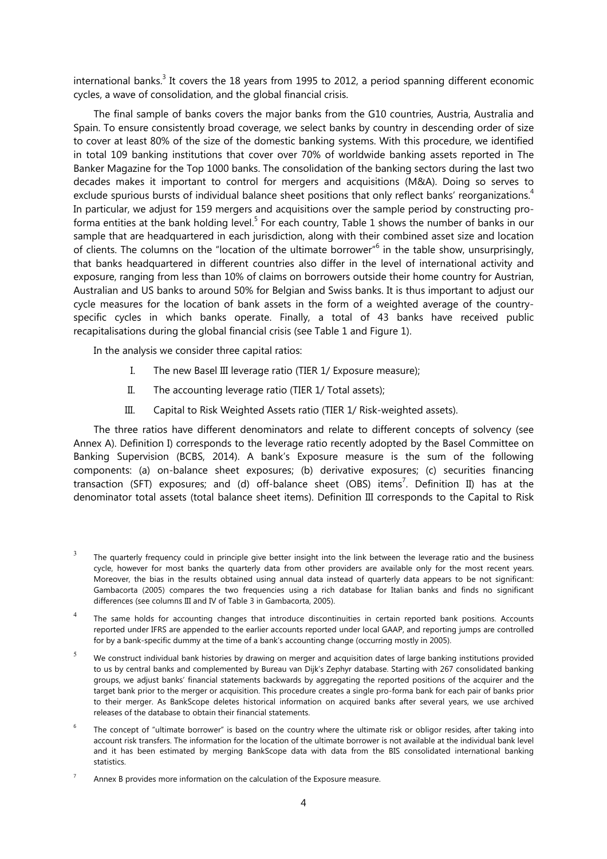international banks.<sup>3</sup> It covers the 18 years from 1995 to 2012, a period spanning different economic cycles, a wave of consolidation, and the global financial crisis.

The final sample of banks covers the major banks from the G10 countries, Austria, Australia and Spain. To ensure consistently broad coverage, we select banks by country in descending order of size to cover at least 80% of the size of the domestic banking systems. With this procedure, we identified in total 109 banking institutions that cover over 70% of worldwide banking assets reported in The Banker Magazine for the Top 1000 banks. The consolidation of the banking sectors during the last two decades makes it important to control for mergers and acquisitions (M&A). Doing so serves to exclude spurious bursts of individual balance sheet positions that only reflect banks' reorganizations.<sup>4</sup> In particular, we adjust for 159 mergers and acquisitions over the sample period by constructing proforma entities at the bank holding level.<sup>5</sup> For each country, Table 1 shows the number of banks in our sample that are headquartered in each jurisdiction, along with their combined asset size and location of clients. The columns on the "location of the ultimate borrower"<sup>6</sup> in the table show, unsurprisingly, that banks headquartered in different countries also differ in the level of international activity and exposure, ranging from less than 10% of claims on borrowers outside their home country for Austrian, Australian and US banks to around 50% for Belgian and Swiss banks. It is thus important to adjust our cycle measures for the location of bank assets in the form of a weighted average of the countryspecific cycles in which banks operate. Finally, a total of 43 banks have received public recapitalisations during the global financial crisis (see Table 1 and Figure 1).

In the analysis we consider three capital ratios:

- I. The new Basel III leverage ratio (TIER 1/ Exposure measure);
- II. The accounting leverage ratio (TIER 1/ Total assets);
- III. Capital to Risk Weighted Assets ratio (TIER 1/ Risk-weighted assets).

The three ratios have different denominators and relate to different concepts of solvency (see Annex A). Definition I) corresponds to the leverage ratio recently adopted by the Basel Committee on Banking Supervision (BCBS, 2014). A bank's Exposure measure is the sum of the following components: (a) on-balance sheet exposures; (b) derivative exposures; (c) securities financing transaction (SFT) exposures; and (d) off-balance sheet (OBS) items<sup>7</sup>. Definition II) has at the denominator total assets (total balance sheet items). Definition III corresponds to the Capital to Risk

- 5 We construct individual bank histories by drawing on merger and acquisition dates of large banking institutions provided to us by central banks and complemented by Bureau van Dijk's Zephyr database. Starting with 267 consolidated banking groups, we adjust banks' financial statements backwards by aggregating the reported positions of the acquirer and the target bank prior to the merger or acquisition. This procedure creates a single pro-forma bank for each pair of banks prior to their merger. As BankScope deletes historical information on acquired banks after several years, we use archived releases of the database to obtain their financial statements.
- 6 The concept of "ultimate borrower" is based on the country where the ultimate risk or obligor resides, after taking into account risk transfers. The information for the location of the ultimate borrower is not available at the individual bank level and it has been estimated by merging BankScope data with data from the BIS consolidated international banking statistics.

<sup>3</sup> The quarterly frequency could in principle give better insight into the link between the leverage ratio and the business cycle, however for most banks the quarterly data from other providers are available only for the most recent years. Moreover, the bias in the results obtained using annual data instead of quarterly data appears to be not significant: Gambacorta (2005) compares the two frequencies using a rich database for Italian banks and finds no significant differences (see columns III and IV of Table 3 in Gambacorta, 2005).

<sup>&</sup>lt;sup>4</sup> The same holds for accounting changes that introduce discontinuities in certain reported bank positions. Accounts reported under IFRS are appended to the earlier accounts reported under local GAAP, and reporting jumps are controlled for by a bank-specific dummy at the time of a bank's accounting change (occurring mostly in 2005).

<sup>7</sup> Annex B provides more information on the calculation of the Exposure measure.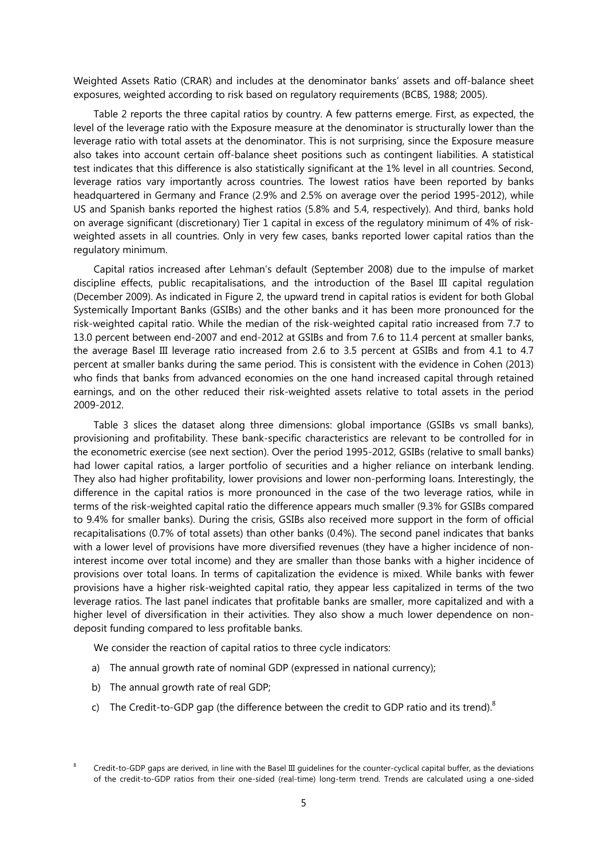Weighted Assets Ratio (CRAR) and includes at the denominator banks' assets and off-balance sheet exposures, weighted according to risk based on regulatory requirements (BCBS, 1988; 2005).

Table 2 reports the three capital ratios by country. A few patterns emerge. First, as expected, the level of the leverage ratio with the Exposure measure at the denominator is structurally lower than the leverage ratio with total assets at the denominator. This is not surprising, since the Exposure measure also takes into account certain off-balance sheet positions such as contingent liabilities. A statistical test indicates that this difference is also statistically significant at the 1% level in all countries. Second, leverage ratios vary importantly across countries. The lowest ratios have been reported by banks headquartered in Germany and France (2.9% and 2.5% on average over the period 1995-2012), while US and Spanish banks reported the highest ratios (5.8% and 5.4, respectively). And third, banks hold on average significant (discretionary) Tier 1 capital in excess of the regulatory minimum of 4% of riskweighted assets in all countries. Only in very few cases, banks reported lower capital ratios than the regulatory minimum.

Capital ratios increased after Lehman's default (September 2008) due to the impulse of market discipline effects, public recapitalisations, and the introduction of the Basel III capital regulation (December 2009). As indicated in Figure 2, the upward trend in capital ratios is evident for both Global Systemically Important Banks (GSIBs) and the other banks and it has been more pronounced for the risk-weighted capital ratio. While the median of the risk-weighted capital ratio increased from 7.7 to 13.0 percent between end-2007 and end-2012 at GSIBs and from 7.6 to 11.4 percent at smaller banks, the average Basel III leverage ratio increased from 2.6 to 3.5 percent at GSIBs and from 4.1 to 4.7 percent at smaller banks during the same period. This is consistent with the evidence in Cohen (2013) who finds that banks from advanced economies on the one hand increased capital through retained earnings, and on the other reduced their risk-weighted assets relative to total assets in the period 2009-2012.

Table 3 slices the dataset along three dimensions: global importance (GSIBs vs small banks), provisioning and profitability. These bank-specific characteristics are relevant to be controlled for in the econometric exercise (see next section). Over the period 1995-2012, GSIBs (relative to small banks) had lower capital ratios, a larger portfolio of securities and a higher reliance on interbank lending. They also had higher profitability, lower provisions and lower non-performing loans. Interestingly, the difference in the capital ratios is more pronounced in the case of the two leverage ratios, while in terms of the risk-weighted capital ratio the difference appears much smaller (9.3% for GSIBs compared to 9.4% for smaller banks). During the crisis, GSIBs also received more support in the form of official recapitalisations (0.7% of total assets) than other banks (0.4%). The second panel indicates that banks with a lower level of provisions have more diversified revenues (they have a higher incidence of noninterest income over total income) and they are smaller than those banks with a higher incidence of provisions over total loans. In terms of capitalization the evidence is mixed. While banks with fewer provisions have a higher risk-weighted capital ratio, they appear less capitalized in terms of the two leverage ratios. The last panel indicates that profitable banks are smaller, more capitalized and with a higher level of diversification in their activities. They also show a much lower dependence on nondeposit funding compared to less profitable banks.

We consider the reaction of capital ratios to three cycle indicators:

- a) The annual growth rate of nominal GDP (expressed in national currency);
- b) The annual growth rate of real GDP;
- c) The Credit-to-GDP gap (the difference between the credit to GDP ratio and its trend). $8$

<sup>8</sup> Credit-to-GDP gaps are derived, in line with the Basel III guidelines for the counter-cyclical capital buffer, as the deviations of the credit-to-GDP ratios from their one-sided (real-time) long-term trend. Trends are calculated using a one-sided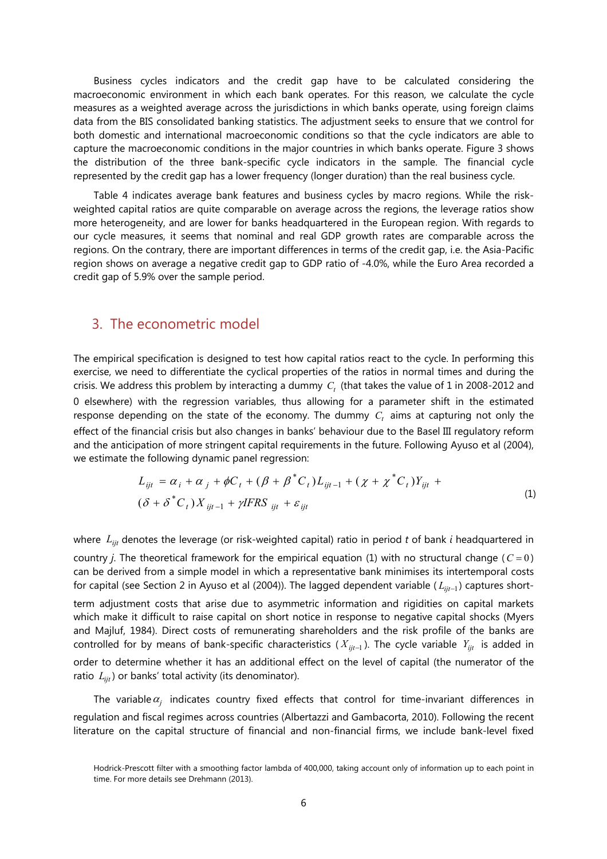Business cycles indicators and the credit gap have to be calculated considering the macroeconomic environment in which each bank operates. For this reason, we calculate the cycle measures as a weighted average across the jurisdictions in which banks operate, using foreign claims data from the BIS consolidated banking statistics. The adjustment seeks to ensure that we control for both domestic and international macroeconomic conditions so that the cycle indicators are able to capture the macroeconomic conditions in the major countries in which banks operate. Figure 3 shows the distribution of the three bank-specific cycle indicators in the sample. The financial cycle represented by the credit gap has a lower frequency (longer duration) than the real business cycle.

Table 4 indicates average bank features and business cycles by macro regions. While the riskweighted capital ratios are quite comparable on average across the regions, the leverage ratios show more heterogeneity, and are lower for banks headquartered in the European region. With regards to our cycle measures, it seems that nominal and real GDP growth rates are comparable across the regions. On the contrary, there are important differences in terms of the credit gap, i.e. the Asia-Pacific region shows on average a negative credit gap to GDP ratio of -4.0%, while the Euro Area recorded a credit gap of 5.9% over the sample period.

## 3. The econometric model

ratio  $L_{ii}$ ) or banks' total activity (its denominator).

The empirical specification is designed to test how capital ratios react to the cycle. In performing this exercise, we need to differentiate the cyclical properties of the ratios in normal times and during the crisis. We address this problem by interacting a dummy  $C<sub>t</sub>$  (that takes the value of 1 in 2008-2012 and 0 elsewhere) with the regression variables, thus allowing for a parameter shift in the estimated response depending on the state of the economy. The dummy  $C<sub>t</sub>$  aims at capturing not only the effect of the financial crisis but also changes in banks' behaviour due to the Basel III regulatory reform and the anticipation of more stringent capital requirements in the future. Following Ayuso et al (2004), we estimate the following dynamic panel regression:

$$
L_{ijt} = \alpha_i + \alpha_j + \phi C_t + (\beta + \beta^* C_t) L_{ijt-1} + (\chi + \chi^* C_t) Y_{ijt} +
$$
  

$$
(\delta + \delta^* C_t) X_{ijt-1} + \gamma IFRS_{ijt} + \varepsilon_{ijt}
$$
 (1)

where *Lijt* denotes the leverage (or risk-weighted capital) ratio in period *t* of bank *i* headquartered in country *j*. The theoretical framework for the empirical equation (1) with no structural change ( $C = 0$ ) can be derived from a simple model in which a representative bank minimises its intertemporal costs for capital (see Section 2 in Ayuso et al (2004)). The lagged dependent variable ( $L_{ijt-1}$ ) captures shortterm adjustment costs that arise due to asymmetric information and rigidities on capital markets which make it difficult to raise capital on short notice in response to negative capital shocks (Myers and Majluf, 1984). Direct costs of remunerating shareholders and the risk profile of the banks are controlled for by means of bank-specific characteristics ( $X_{ijt-1}$ ). The cycle variable  $Y_{ijt}$  is added in order to determine whether it has an additional effect on the level of capital (the numerator of the

The variable  $\alpha_j$  indicates country fixed effects that control for time-invariant differences in regulation and fiscal regimes across countries (Albertazzi and Gambacorta, 2010). Following the recent literature on the capital structure of financial and non-financial firms, we include bank-level fixed

Hodrick-Prescott filter with a smoothing factor lambda of 400,000, taking account only of information up to each point in time. For more details see Drehmann (2013).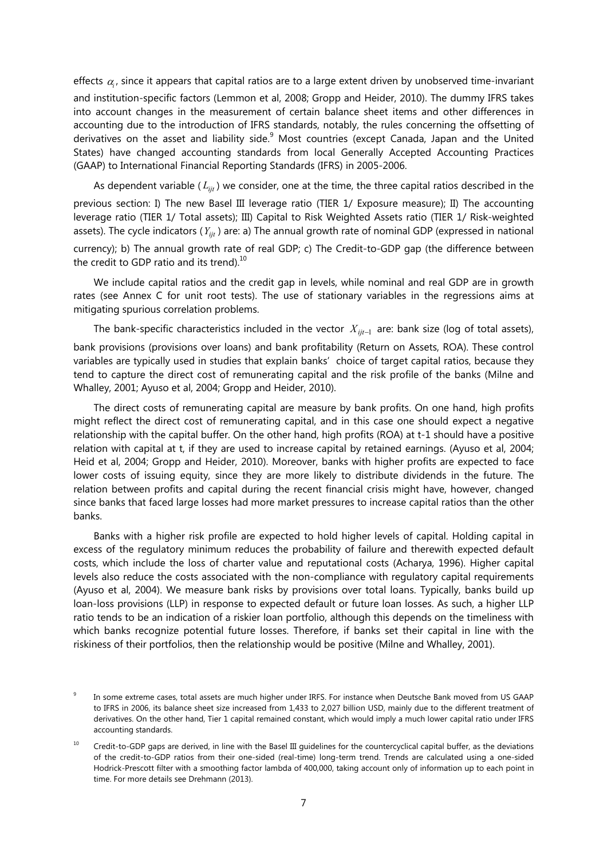effects  $\alpha_{\scriptscriptstyle i}$ , since it appears that capital ratios are to a large extent driven by unobserved time-invariant

and institution-specific factors (Lemmon et al, 2008; Gropp and Heider, 2010). The dummy IFRS takes into account changes in the measurement of certain balance sheet items and other differences in accounting due to the introduction of IFRS standards, notably, the rules concerning the offsetting of derivatives on the asset and liability side.<sup>9</sup> Most countries (except Canada, Japan and the United States) have changed accounting standards from local Generally Accepted Accounting Practices (GAAP) to International Financial Reporting Standards (IFRS) in 2005-2006.

As dependent variable ( *Lijt* ) we consider, one at the time, the three capital ratios described in the

previous section: I) The new Basel III leverage ratio (TIER 1/ Exposure measure); II) The accounting leverage ratio (TIER 1/ Total assets); III) Capital to Risk Weighted Assets ratio (TIER 1/ Risk-weighted assets). The cycle indicators (*Yijt* ) are: a) The annual growth rate of nominal GDP (expressed in national

currency); b) The annual growth rate of real GDP; c) The Credit-to-GDP gap (the difference between the credit to GDP ratio and its trend). $^{10}$ 

We include capital ratios and the credit gap in levels, while nominal and real GDP are in growth rates (see Annex C for unit root tests). The use of stationary variables in the regressions aims at mitigating spurious correlation problems.

The bank-specific characteristics included in the vector  $X_{i i t-1}$  are: bank size (log of total assets),

bank provisions (provisions over loans) and bank profitability (Return on Assets, ROA). These control variables are typically used in studies that explain banks' choice of target capital ratios, because they tend to capture the direct cost of remunerating capital and the risk profile of the banks (Milne and Whalley, 2001; Ayuso et al, 2004; Gropp and Heider, 2010).

The direct costs of remunerating capital are measure by bank profits. On one hand, high profits might reflect the direct cost of remunerating capital, and in this case one should expect a negative relationship with the capital buffer. On the other hand, high profits (ROA) at t-1 should have a positive relation with capital at t, if they are used to increase capital by retained earnings. (Ayuso et al, 2004; Heid et al, 2004; Gropp and Heider, 2010). Moreover, banks with higher profits are expected to face lower costs of issuing equity, since they are more likely to distribute dividends in the future. The relation between profits and capital during the recent financial crisis might have, however, changed since banks that faced large losses had more market pressures to increase capital ratios than the other banks.

Banks with a higher risk profile are expected to hold higher levels of capital. Holding capital in excess of the regulatory minimum reduces the probability of failure and therewith expected default costs, which include the loss of charter value and reputational costs (Acharya, 1996). Higher capital levels also reduce the costs associated with the non-compliance with regulatory capital requirements (Ayuso et al, 2004). We measure bank risks by provisions over total loans. Typically, banks build up loan-loss provisions (LLP) in response to expected default or future loan losses. As such, a higher LLP ratio tends to be an indication of a riskier loan portfolio, although this depends on the timeliness with which banks recognize potential future losses. Therefore, if banks set their capital in line with the riskiness of their portfolios, then the relationship would be positive (Milne and Whalley, 2001).

<sup>9</sup> In some extreme cases, total assets are much higher under IRFS. For instance when Deutsche Bank moved from US GAAP to IFRS in 2006, its balance sheet size increased from 1,433 to 2,027 billion USD, mainly due to the different treatment of derivatives. On the other hand, Tier 1 capital remained constant, which would imply a much lower capital ratio under IFRS accounting standards.

<sup>&</sup>lt;sup>10</sup> Credit-to-GDP gaps are derived, in line with the Basel III guidelines for the countercyclical capital buffer, as the deviations of the credit-to-GDP ratios from their one-sided (real-time) long-term trend. Trends are calculated using a one-sided Hodrick-Prescott filter with a smoothing factor lambda of 400,000, taking account only of information up to each point in time. For more details see Drehmann (2013).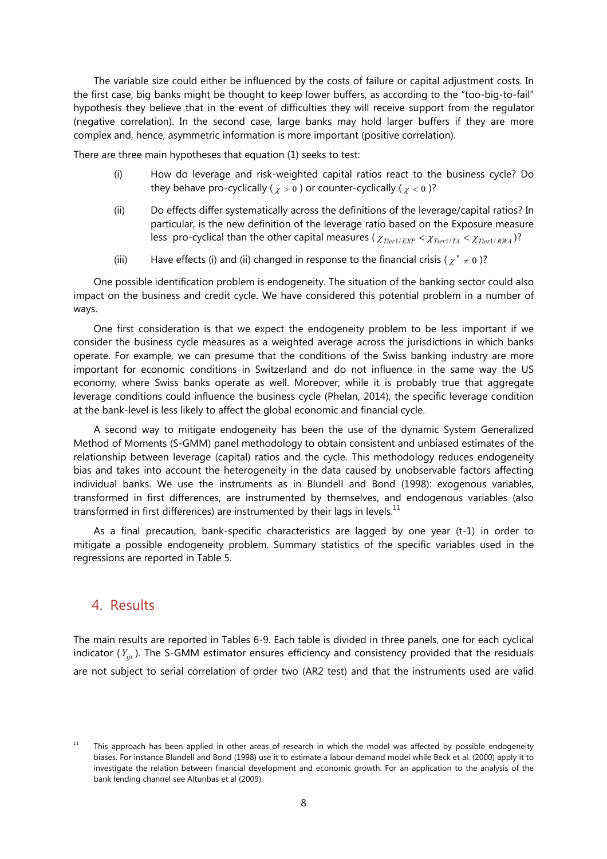The variable size could either be influenced by the costs of failure or capital adjustment costs. In the first case, big banks might be thought to keep lower buffers, as according to the "too-big-to-fail" hypothesis they believe that in the event of difficulties they will receive support from the regulator (negative correlation). In the second case, large banks may hold larger buffers if they are more complex and, hence, asymmetric information is more important (positive correlation).

There are three main hypotheses that equation (1) seeks to test:

- (i) How do leverage and risk-weighted capital ratios react to the business cycle? Do they behave pro-cyclically ( $\chi > 0$ ) or counter-cyclically ( $\chi < 0$ )?
- (ii) Do effects differ systematically across the definitions of the leverage/capital ratios? In particular, is the new definition of the leverage ratio based on the Exposure measure less pro-cyclical than the other capital measures ( $\chi_{Tier1/EXP} < \chi_{Tier1/TA} < \chi_{Tier1/RWA}$ )?
- (iii) Have effects (i) and (ii) changed in response to the financial crisis ( $\chi^* \neq 0$ )?

One possible identification problem is endogeneity. The situation of the banking sector could also impact on the business and credit cycle. We have considered this potential problem in a number of ways.

One first consideration is that we expect the endogeneity problem to be less important if we consider the business cycle measures as a weighted average across the jurisdictions in which banks operate. For example, we can presume that the conditions of the Swiss banking industry are more important for economic conditions in Switzerland and do not influence in the same way the US economy, where Swiss banks operate as well. Moreover, while it is probably true that aggregate leverage conditions could influence the business cycle (Phelan, 2014), the specific leverage condition at the bank-level is less likely to affect the global economic and financial cycle.

A second way to mitigate endogeneity has been the use of the dynamic System Generalized Method of Moments (S-GMM) panel methodology to obtain consistent and unbiased estimates of the relationship between leverage (capital) ratios and the cycle. This methodology reduces endogeneity bias and takes into account the heterogeneity in the data caused by unobservable factors affecting individual banks. We use the instruments as in Blundell and Bond (1998): exogenous variables, transformed in first differences, are instrumented by themselves, and endogenous variables (also transformed in first differences) are instrumented by their lags in levels. $^{11}$ 

As a final precaution, bank-specific characteristics are lagged by one year (t-1) in order to mitigate a possible endogeneity problem. Summary statistics of the specific variables used in the regressions are reported in Table 5.

## 4. Results

The main results are reported in Tables 6-9. Each table is divided in three panels, one for each cyclical indicator  $(Y_{ijt})$ . The S-GMM estimator ensures efficiency and consistency provided that the residuals are not subject to serial correlation of order two (AR2 test) and that the instruments used are valid

 $11$  This approach has been applied in other areas of research in which the model was affected by possible endogeneity biases. For instance Blundell and Bond (1998) use it to estimate a labour demand model while Beck et al. (2000) apply it to investigate the relation between financial development and economic growth. For an application to the analysis of the bank lending channel see Altunbas et al (2009).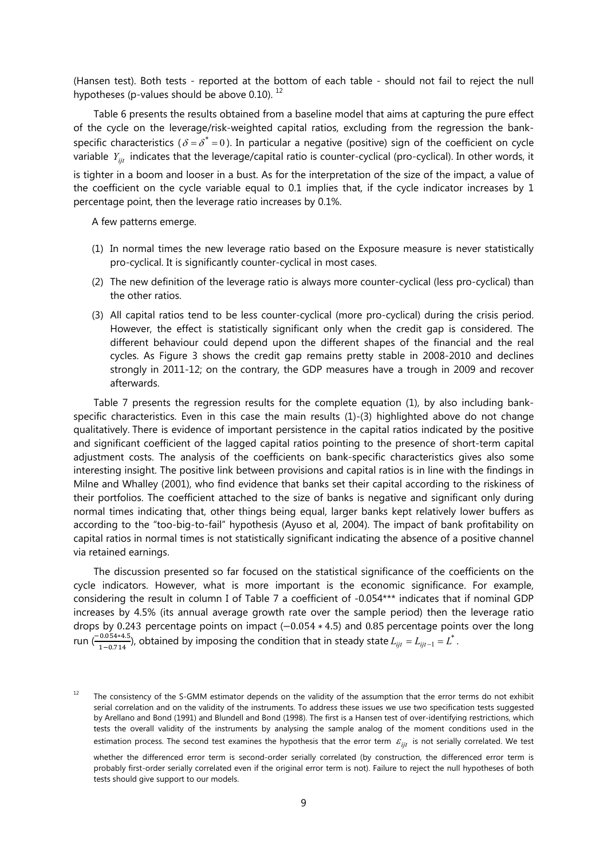(Hansen test). Both tests - reported at the bottom of each table - should not fail to reject the null hypotheses (p-values should be above 0.10).<sup>12</sup>

Table 6 presents the results obtained from a baseline model that aims at capturing the pure effect of the cycle on the leverage/risk-weighted capital ratios, excluding from the regression the bankspecific characteristics ( $\delta = \delta^* = 0$ ). In particular a negative (positive) sign of the coefficient on cycle variable *Yijt* indicates that the leverage/capital ratio is counter-cyclical (pro-cyclical). In other words, it is tighter in a boom and looser in a bust. As for the interpretation of the size of the impact, a value of the coefficient on the cycle variable equal to 0.1 implies that, if the cycle indicator increases by 1 percentage point, then the leverage ratio increases by 0.1%.

A few patterns emerge.

- (1) In normal times the new leverage ratio based on the Exposure measure is never statistically pro-cyclical. It is significantly counter-cyclical in most cases.
- (2) The new definition of the leverage ratio is always more counter-cyclical (less pro-cyclical) than the other ratios.
- (3) All capital ratios tend to be less counter-cyclical (more pro-cyclical) during the crisis period. However, the effect is statistically significant only when the credit gap is considered. The different behaviour could depend upon the different shapes of the financial and the real cycles. As Figure 3 shows the credit gap remains pretty stable in 2008-2010 and declines strongly in 2011-12; on the contrary, the GDP measures have a trough in 2009 and recover afterwards.

Table 7 presents the regression results for the complete equation (1), by also including bankspecific characteristics. Even in this case the main results (1)-(3) highlighted above do not change qualitatively. There is evidence of important persistence in the capital ratios indicated by the positive and significant coefficient of the lagged capital ratios pointing to the presence of short-term capital adjustment costs. The analysis of the coefficients on bank-specific characteristics gives also some interesting insight. The positive link between provisions and capital ratios is in line with the findings in Milne and Whalley (2001), who find evidence that banks set their capital according to the riskiness of their portfolios. The coefficient attached to the size of banks is negative and significant only during normal times indicating that, other things being equal, larger banks kept relatively lower buffers as according to the "too-big-to-fail" hypothesis (Ayuso et al, 2004). The impact of bank profitability on capital ratios in normal times is not statistically significant indicating the absence of a positive channel via retained earnings.

The discussion presented so far focused on the statistical significance of the coefficients on the cycle indicators. However, what is more important is the economic significance. For example, considering the result in column I of Table 7 a coefficient of -0.054\*\*\* indicates that if nominal GDP increases by 4.5% (its annual average growth rate over the sample period) then the leverage ratio drops by 0.243 percentage points on impact (-0.054  $*$  4.5) and 0.85 percentage points over the long run ( $\frac{-0.054*4.5}{1-0.714}$ ), obtained by imposing the condition that in steady state  $L_{ijt} = L_{ijt-1} = L^*$  .

 $12$  The consistency of the S-GMM estimator depends on the validity of the assumption that the error terms do not exhibit serial correlation and on the validity of the instruments. To address these issues we use two specification tests suggested by Arellano and Bond (1991) and Blundell and Bond (1998). The first is a Hansen test of over-identifying restrictions, which tests the overall validity of the instruments by analysing the sample analog of the moment conditions used in the estimation process. The second test examines the hypothesis that the error term  $\varepsilon_{ijt}$  is not serially correlated. We test

whether the differenced error term is second-order serially correlated (by construction, the differenced error term is probably first-order serially correlated even if the original error term is not). Failure to reject the null hypotheses of both tests should give support to our models.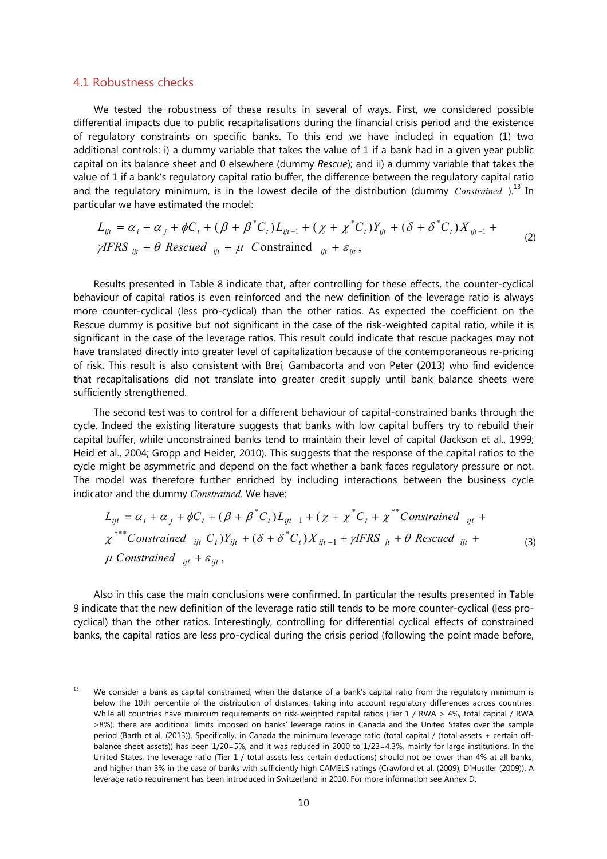#### 4.1 Robustness checks

We tested the robustness of these results in several of ways. First, we considered possible differential impacts due to public recapitalisations during the financial crisis period and the existence of regulatory constraints on specific banks. To this end we have included in equation (1) two additional controls: i) a dummy variable that takes the value of 1 if a bank had in a given year public capital on its balance sheet and 0 elsewhere (dummy *Rescue*); and ii) a dummy variable that takes the value of 1 if a bank's regulatory capital ratio buffer, the difference between the regulatory capital ratio and the regulatory minimum, is in the lowest decile of the distribution (dummy *Constrained*).<sup>13</sup> In particular we have estimated the model:

$$
L_{ijt} = \alpha_i + \alpha_j + \phi C_t + (\beta + \beta^* C_t)L_{ijt-1} + (\chi + \chi^* C_t)Y_{ijt} + (\delta + \delta^* C_t)X_{ijt-1} + \gamma IFRS_{ijt} + \theta \text{ Rescued}_{ijt} + \mu \text{ Constrained}_{ijt} + \varepsilon_{ijt},
$$
\n(2)

Results presented in Table 8 indicate that, after controlling for these effects, the counter-cyclical behaviour of capital ratios is even reinforced and the new definition of the leverage ratio is always more counter-cyclical (less pro-cyclical) than the other ratios. As expected the coefficient on the Rescue dummy is positive but not significant in the case of the risk-weighted capital ratio, while it is significant in the case of the leverage ratios. This result could indicate that rescue packages may not have translated directly into greater level of capitalization because of the contemporaneous re-pricing of risk. This result is also consistent with Brei, Gambacorta and von Peter (2013) who find evidence that recapitalisations did not translate into greater credit supply until bank balance sheets were sufficiently strengthened.

The second test was to control for a different behaviour of capital-constrained banks through the cycle. Indeed the existing literature suggests that banks with low capital buffers try to rebuild their capital buffer, while unconstrained banks tend to maintain their level of capital (Jackson et al., 1999; Heid et al., 2004; Gropp and Heider, 2010). This suggests that the response of the capital ratios to the cycle might be asymmetric and depend on the fact whether a bank faces regulatory pressure or not. The model was therefore further enriched by including interactions between the business cycle indicator and the dummy *Constrained*. We have:

$$
L_{ijt} = \alpha_i + \alpha_j + \phi C_t + (\beta + \beta^* C_t) L_{ijt-1} + (\chi + \chi^* C_t + \chi^{**} \text{Constrained}_{ijt} + \chi^{***} \text{Constrained}_{ijt} + \chi^{***} \text{Constrained}_{ijt} C_t) Y_{ijt} + (\delta + \delta^* C_t) X_{ijt-1} + \gamma \text{IFRS}_{jt} + \theta \text{ Rescued}_{ijt} + \mu \text{ Constrained}_{ijt} + \varepsilon_{ijt},
$$
\n(3)

Also in this case the main conclusions were confirmed. In particular the results presented in Table 9 indicate that the new definition of the leverage ratio still tends to be more counter-cyclical (less procyclical) than the other ratios. Interestingly, controlling for differential cyclical effects of constrained banks, the capital ratios are less pro-cyclical during the crisis period (following the point made before,

<sup>&</sup>lt;sup>13</sup> We consider a bank as capital constrained, when the distance of a bank's capital ratio from the regulatory minimum is below the 10th percentile of the distribution of distances, taking into account regulatory differences across countries. While all countries have minimum requirements on risk-weighted capital ratios (Tier 1 / RWA > 4%, total capital / RWA >8%), there are additional limits imposed on banks' leverage ratios in Canada and the United States over the sample period (Barth et al. (2013)). Specifically, in Canada the minimum leverage ratio (total capital / (total assets + certain offbalance sheet assets)) has been 1/20=5%, and it was reduced in 2000 to 1/23=4.3%, mainly for large institutions. In the United States, the leverage ratio (Tier 1 / total assets less certain deductions) should not be lower than 4% at all banks, and higher than 3% in the case of banks with sufficiently high CAMELS ratings (Crawford et al. (2009), D'Hustler (2009)). A leverage ratio requirement has been introduced in Switzerland in 2010. For more information see Annex D.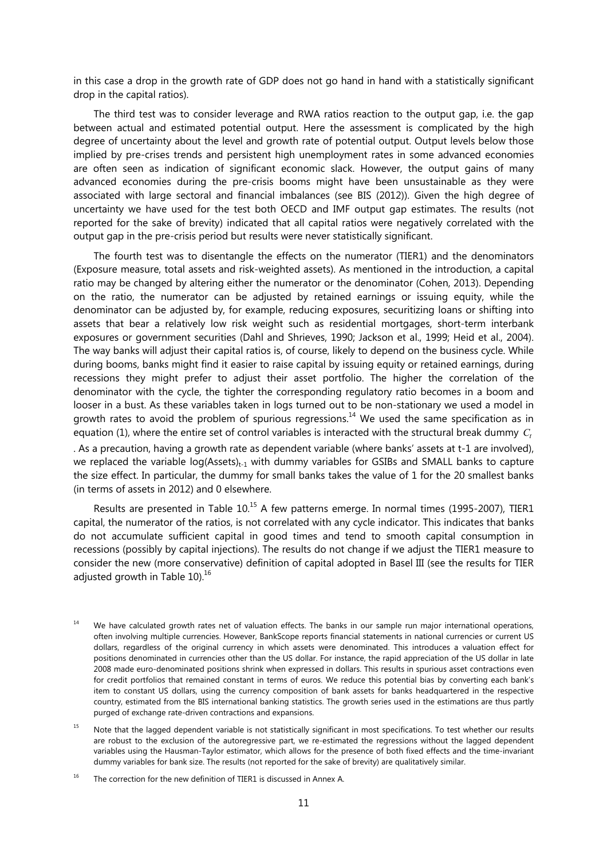in this case a drop in the growth rate of GDP does not go hand in hand with a statistically significant drop in the capital ratios).

The third test was to consider leverage and RWA ratios reaction to the output gap, i.e. the gap between actual and estimated potential output. Here the assessment is complicated by the high degree of uncertainty about the level and growth rate of potential output. Output levels below those implied by pre-crises trends and persistent high unemployment rates in some advanced economies are often seen as indication of significant economic slack. However, the output gains of many advanced economies during the pre-crisis booms might have been unsustainable as they were associated with large sectoral and financial imbalances (see BIS (2012)). Given the high degree of uncertainty we have used for the test both OECD and IMF output gap estimates. The results (not reported for the sake of brevity) indicated that all capital ratios were negatively correlated with the output gap in the pre-crisis period but results were never statistically significant.

The fourth test was to disentangle the effects on the numerator (TIER1) and the denominators (Exposure measure, total assets and risk-weighted assets). As mentioned in the introduction, a capital ratio may be changed by altering either the numerator or the denominator (Cohen, 2013). Depending on the ratio, the numerator can be adjusted by retained earnings or issuing equity, while the denominator can be adjusted by, for example, reducing exposures, securitizing loans or shifting into assets that bear a relatively low risk weight such as residential mortgages, short-term interbank exposures or government securities (Dahl and Shrieves, 1990; Jackson et al., 1999; Heid et al., 2004). The way banks will adjust their capital ratios is, of course, likely to depend on the business cycle. While during booms, banks might find it easier to raise capital by issuing equity or retained earnings, during recessions they might prefer to adjust their asset portfolio. The higher the correlation of the denominator with the cycle, the tighter the corresponding regulatory ratio becomes in a boom and looser in a bust. As these variables taken in logs turned out to be non-stationary we used a model in growth rates to avoid the problem of spurious regressions.<sup>14</sup> We used the same specification as in equation (1), where the entire set of control variables is interacted with the structural break dummy *C*, . As a precaution, having a growth rate as dependent variable (where banks' assets at t-1 are involved), we replaced the variable  $log(A\text{ssets})_{t-1}$  with dummy variables for GSIBs and SMALL banks to capture the size effect. In particular, the dummy for small banks takes the value of 1 for the 20 smallest banks (in terms of assets in 2012) and 0 elsewhere.

Results are presented in Table 10.<sup>15</sup> A few patterns emerge. In normal times (1995-2007), TIER1 capital, the numerator of the ratios, is not correlated with any cycle indicator. This indicates that banks do not accumulate sufficient capital in good times and tend to smooth capital consumption in recessions (possibly by capital injections). The results do not change if we adjust the TIER1 measure to consider the new (more conservative) definition of capital adopted in Basel III (see the results for TIER adjusted growth in Table  $10^{16}$ 

- <sup>14</sup> We have calculated growth rates net of valuation effects. The banks in our sample run major international operations, often involving multiple currencies. However, BankScope reports financial statements in national currencies or current US dollars, regardless of the original currency in which assets were denominated. This introduces a valuation effect for positions denominated in currencies other than the US dollar. For instance, the rapid appreciation of the US dollar in late 2008 made euro-denominated positions shrink when expressed in dollars. This results in spurious asset contractions even for credit portfolios that remained constant in terms of euros. We reduce this potential bias by converting each bank's item to constant US dollars, using the currency composition of bank assets for banks headquartered in the respective country, estimated from the BIS international banking statistics. The growth series used in the estimations are thus partly purged of exchange rate-driven contractions and expansions.
- <sup>15</sup> Note that the lagged dependent variable is not statistically significant in most specifications. To test whether our results are robust to the exclusion of the autoregressive part, we re-estimated the regressions without the lagged dependent variables using the Hausman-Taylor estimator, which allows for the presence of both fixed effects and the time-invariant dummy variables for bank size. The results (not reported for the sake of brevity) are qualitatively similar.
- <sup>16</sup> The correction for the new definition of TIER1 is discussed in Annex A.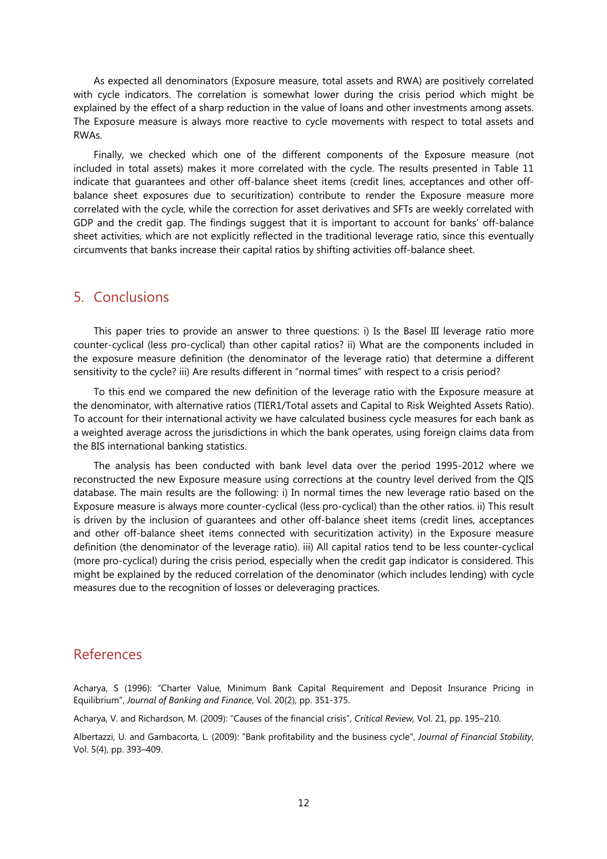As expected all denominators (Exposure measure, total assets and RWA) are positively correlated with cycle indicators. The correlation is somewhat lower during the crisis period which might be explained by the effect of a sharp reduction in the value of loans and other investments among assets. The Exposure measure is always more reactive to cycle movements with respect to total assets and RWAs.

Finally, we checked which one of the different components of the Exposure measure (not included in total assets) makes it more correlated with the cycle. The results presented in Table 11 indicate that guarantees and other off-balance sheet items (credit lines, acceptances and other offbalance sheet exposures due to securitization) contribute to render the Exposure measure more correlated with the cycle, while the correction for asset derivatives and SFTs are weekly correlated with GDP and the credit gap. The findings suggest that it is important to account for banks' off-balance sheet activities, which are not explicitly reflected in the traditional leverage ratio, since this eventually circumvents that banks increase their capital ratios by shifting activities off-balance sheet.

## 5. Conclusions

This paper tries to provide an answer to three questions: i) Is the Basel III leverage ratio more counter-cyclical (less pro-cyclical) than other capital ratios? ii) What are the components included in the exposure measure definition (the denominator of the leverage ratio) that determine a different sensitivity to the cycle? iii) Are results different in "normal times" with respect to a crisis period?

To this end we compared the new definition of the leverage ratio with the Exposure measure at the denominator, with alternative ratios (TIER1/Total assets and Capital to Risk Weighted Assets Ratio). To account for their international activity we have calculated business cycle measures for each bank as a weighted average across the jurisdictions in which the bank operates, using foreign claims data from the BIS international banking statistics.

The analysis has been conducted with bank level data over the period 1995-2012 where we reconstructed the new Exposure measure using corrections at the country level derived from the QIS database. The main results are the following: i) In normal times the new leverage ratio based on the Exposure measure is always more counter-cyclical (less pro-cyclical) than the other ratios. ii) This result is driven by the inclusion of guarantees and other off-balance sheet items (credit lines, acceptances and other off-balance sheet items connected with securitization activity) in the Exposure measure definition (the denominator of the leverage ratio). iii) All capital ratios tend to be less counter-cyclical (more pro-cyclical) during the crisis period, especially when the credit gap indicator is considered. This might be explained by the reduced correlation of the denominator (which includes lending) with cycle measures due to the recognition of losses or deleveraging practices.

## References

Acharya, S (1996): "Charter Value, Minimum Bank Capital Requirement and Deposit Insurance Pricing in Equilibrium", *Journal of Banking and Finance*, Vol. 20(2), pp. 351-375.

Acharya, V. and Richardson, M. (2009): "Causes of the financial crisis", *Critical Review,* Vol. 21, pp. 195–210.

Albertazzi, U. and Gambacorta, L. (2009): "Bank profitability and the business cycle", *Journal of Financial Stability*, Vol. 5(4), pp. 393–409.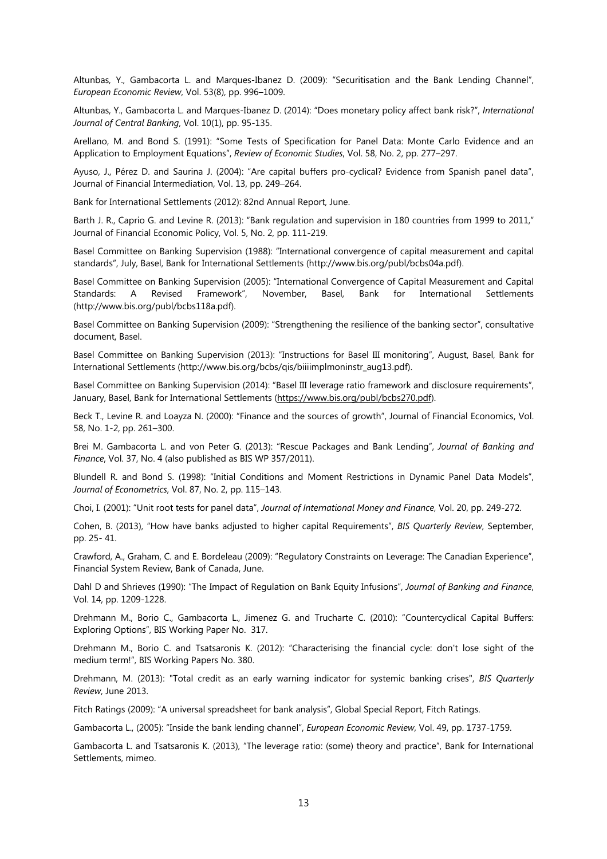Altunbas, Y., Gambacorta L. and Marques-Ibanez D. (2009): "Securitisation and the Bank Lending Channel", *European Economic Review*, Vol. 53(8), pp. 996–1009.

Altunbas, Y., Gambacorta L. and Marques-Ibanez D. (2014): "Does monetary policy affect bank risk?", *International Journal of Central Banking*, Vol. 10(1), pp. 95-135.

Arellano, M. and Bond S. (1991): "Some Tests of Specification for Panel Data: Monte Carlo Evidence and an Application to Employment Equations", *Review of Economic Studies*, Vol. 58, No. 2, pp. 277–297.

Ayuso, J., Pérez D. and Saurina J. (2004): "Are capital buffers pro-cyclical? Evidence from Spanish panel data", Journal of Financial Intermediation, Vol. 13, pp. 249–264.

Bank for International Settlements (2012): 82nd Annual Report, June.

Barth J. R., Caprio G. and Levine R. (2013): "Bank regulation and supervision in 180 countries from 1999 to 2011," Journal of Financial Economic Policy, Vol. 5, No. 2, pp. 111-219.

Basel Committee on Banking Supervision (1988): "International convergence of capital measurement and capital standards", July, Basel, Bank for International Settlements (http://www.bis.org/publ/bcbs04a.pdf).

Basel Committee on Banking Supervision (2005): "International Convergence of Capital Measurement and Capital Standards: A Revised Framework", November, Basel, Bank for International Settlements (http://www.bis.org/publ/bcbs118a.pdf).

Basel Committee on Banking Supervision (2009): "Strengthening the resilience of the banking sector", consultative document, Basel.

Basel Committee on Banking Supervision (2013): "Instructions for Basel III monitoring", August, Basel, Bank for International Settlements (http://www.bis.org/bcbs/qis/biiiimplmoninstr\_aug13.pdf).

Basel Committee on Banking Supervision (2014): "Basel III leverage ratio framework and disclosure requirements", January, Basel, Bank for International Settlements (https://www.bis.org/publ/bcbs270.pdf).

Beck T., Levine R. and Loayza N. (2000): "Finance and the sources of growth", Journal of Financial Economics, Vol. 58, No. 1-2, pp. 261–300.

Brei M. Gambacorta L. and von Peter G. (2013): "Rescue Packages and Bank Lending", *Journal of Banking and Finance*, Vol. 37, No. 4 (also published as BIS WP 357/2011).

Blundell R. and Bond S. (1998): "Initial Conditions and Moment Restrictions in Dynamic Panel Data Models", *Journal of Econometrics*, Vol. 87, No. 2, pp. 115–143.

Choi, I. (2001): "Unit root tests for panel data", *Journal of International Money and Finance*, Vol. 20, pp. 249-272.

Cohen, B. (2013), "How have banks adjusted to higher capital Requirements", *BIS Quarterly Review*, September, pp. 25- 41.

Crawford, A., Graham, C. and E. Bordeleau (2009): "Regulatory Constraints on Leverage: The Canadian Experience", Financial System Review, Bank of Canada, June.

Dahl D and Shrieves (1990): "The Impact of Regulation on Bank Equity Infusions", *Journal of Banking and Finance*, Vol. 14, pp. 1209-1228.

Drehmann M., Borio C., Gambacorta L., Jimenez G. and Trucharte C. (2010): "Countercyclical Capital Buffers: Exploring Options", BIS Working Paper No. 317.

Drehmann M., Borio C. and Tsatsaronis K. (2012): "Characterising the financial cycle: don't lose sight of the medium term!", BIS Working Papers No. 380.

Drehmann, M. (2013): "Total credit as an early warning indicator for systemic banking crises", *BIS Quarterly Review*, June 2013.

Fitch Ratings (2009): "A universal spreadsheet for bank analysis", Global Special Report, Fitch Ratings.

Gambacorta L., (2005): "Inside the bank lending channel", *European Economic Review*, Vol. 49, pp. 1737-1759.

Gambacorta L. and Tsatsaronis K. (2013), "The leverage ratio: (some) theory and practice", Bank for International Settlements, mimeo.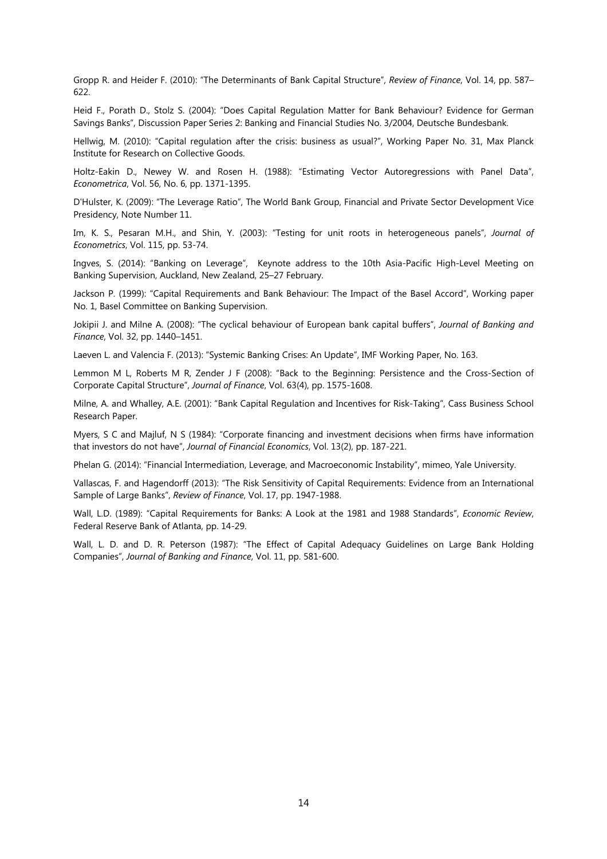Gropp R. and Heider F. (2010): "The Determinants of Bank Capital Structure", *Review of Finance*, Vol. 14, pp. 587– 622.

Heid F., Porath D., Stolz S. (2004): "Does Capital Regulation Matter for Bank Behaviour? Evidence for German Savings Banks", Discussion Paper Series 2: Banking and Financial Studies No. 3/2004, Deutsche Bundesbank.

Hellwig, M. (2010): "Capital regulation after the crisis: business as usual?", Working Paper No. 31, Max Planck Institute for Research on Collective Goods.

Holtz-Eakin D., Newey W. and Rosen H. (1988): "Estimating Vector Autoregressions with Panel Data", *Econometrica*, Vol. 56, No. 6, pp. 1371-1395.

D'Hulster, K. (2009): "The Leverage Ratio", The World Bank Group, Financial and Private Sector Development Vice Presidency, Note Number 11.

Im, K. S., Pesaran M.H., and Shin, Y. (2003): "Testing for unit roots in heterogeneous panels", *Journal of Econometrics*, Vol. 115, pp. 53-74.

Ingves, S. (2014): "Banking on Leverage", Keynote address to the 10th Asia-Pacific High-Level Meeting on Banking Supervision, Auckland, New Zealand, 25–27 February.

Jackson P. (1999): "Capital Requirements and Bank Behaviour: The Impact of the Basel Accord", Working paper No. 1, Basel Committee on Banking Supervision.

Jokipii J. and Milne A. (2008): "The cyclical behaviour of European bank capital buffers", *Journal of Banking and Finance*, Vol. 32, pp. 1440–1451.

Laeven L. and Valencia F. (2013): "Systemic Banking Crises: An Update", IMF Working Paper, No. 163.

Lemmon M L, Roberts M R, Zender J F (2008): "Back to the Beginning: Persistence and the Cross-Section of Corporate Capital Structure", *Journal of Finance*, Vol. 63(4), pp. 1575-1608.

Milne, A. and Whalley, A.E. (2001): "Bank Capital Regulation and Incentives for Risk-Taking", Cass Business School Research Paper.

Myers, S C and Majluf, N S (1984): "Corporate financing and investment decisions when firms have information that investors do not have", *Journal of Financial Economics*, Vol. 13(2), pp. 187-221.

Phelan G. (2014): "Financial Intermediation, Leverage, and Macroeconomic Instability", mimeo, Yale University.

Vallascas, F. and Hagendorff (2013): "The Risk Sensitivity of Capital Requirements: Evidence from an International Sample of Large Banks", *Review of Finance*, Vol. 17, pp. 1947-1988.

Wall, L.D. (1989): "Capital Requirements for Banks: A Look at the 1981 and 1988 Standards", *Economic Review*, Federal Reserve Bank of Atlanta, pp. 14-29.

Wall, L. D. and D. R. Peterson (1987): "The Effect of Capital Adequacy Guidelines on Large Bank Holding Companies", *Journal of Banking and Finance*, Vol. 11, pp. 581-600.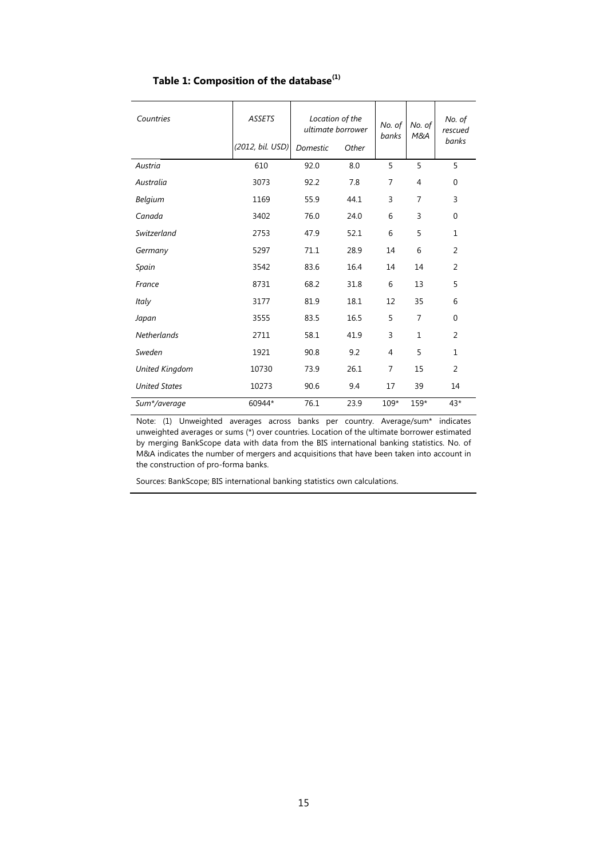## **Table 1: Composition of the database(1)**

| Countries             | <b>ASSETS</b>    | Location of the | ultimate borrower | No. of<br>banks | No. of<br>M&A | No. of<br>rescued |
|-----------------------|------------------|-----------------|-------------------|-----------------|---------------|-------------------|
|                       | (2012, bil. USD) | Domestic        | Other             |                 |               | banks             |
| Austria               | 610              | 92.0            | 8.0               | 5               | 5             | 5                 |
| Australia             | 3073             | 92.2            | 7.8               | 7               | 4             | $\mathbf 0$       |
| Belgium               | 1169             | 55.9            | 44.1              | 3               | 7             | 3                 |
| Canada                | 3402             | 76.0            | 24.0              | 6               | 3             | $\mathbf 0$       |
| Switzerland           | 2753             | 47.9            | 52.1              | 6               | 5             | 1                 |
| Germany               | 5297             | 71.1            | 28.9              | 14              | 6             | 2                 |
| Spain                 | 3542             | 83.6            | 16.4              | 14              | 14            | 2                 |
| France                | 8731             | 68.2            | 31.8              | 6               | 13            | 5                 |
| Italy                 | 3177             | 81.9            | 18.1              | 12              | 35            | 6                 |
| Japan                 | 3555             | 83.5            | 16.5              | 5               | 7             | $\mathbf 0$       |
| Netherlands           | 2711             | 58.1            | 41.9              | 3               | $\mathbf{1}$  | 2                 |
| Sweden                | 1921             | 90.8            | 9.2               | 4               | 5             | $\mathbf{1}$      |
| <b>United Kingdom</b> | 10730            | 73.9            | 26.1              | 7               | 15            | 2                 |
| <b>United States</b>  | 10273            | 90.6            | 9.4               | 17              | 39            | 14                |
| Sum*/average          | 60944*           | 76.1            | 23.9              | 109*            | 159*          | $43*$             |

Note: (1) Unweighted averages across banks per country. Average/sum\* indicates unweighted averages or sums (\*) over countries. Location of the ultimate borrower estimated by merging BankScope data with data from the BIS international banking statistics. No. of M&A indicates the number of mergers and acquisitions that have been taken into account in the construction of pro-forma banks.

Sources: BankScope; BIS international banking statistics own calculations.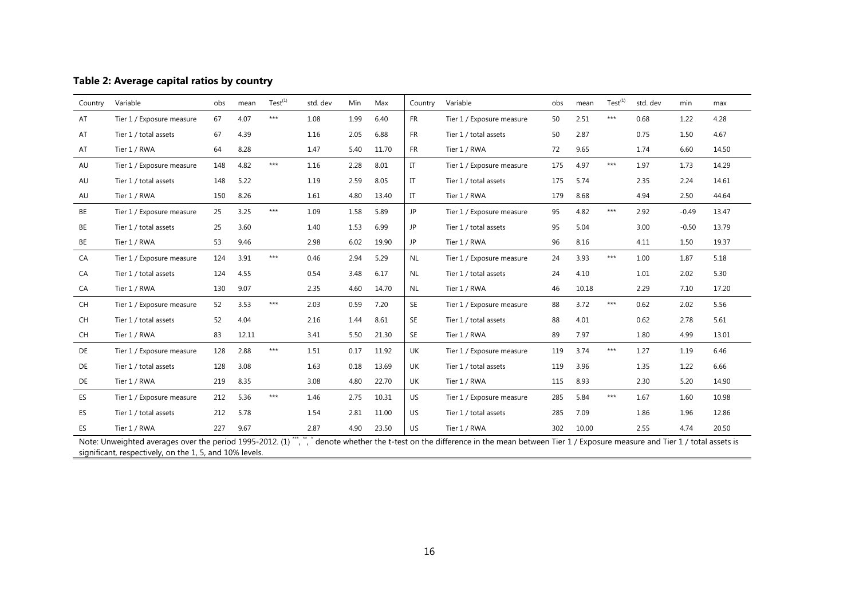| Table 2: Average capital ratios by country |  |  |  |  |
|--------------------------------------------|--|--|--|--|
|--------------------------------------------|--|--|--|--|

| Country   | Variable                  | obs | mean  | $Test^{(1)}$ | std. dev | Min  | Max   | Country   | Variable                  | obs | mean  | Test <sup>(1)</sup> | std. dev | min     | max   |
|-----------|---------------------------|-----|-------|--------------|----------|------|-------|-----------|---------------------------|-----|-------|---------------------|----------|---------|-------|
| AT        | Tier 1 / Exposure measure | 67  | 4.07  | $***$        | 1.08     | 1.99 | 6.40  | <b>FR</b> | Tier 1 / Exposure measure | 50  | 2.51  | $***$               | 0.68     | 1.22    | 4.28  |
| AT        | Tier 1 / total assets     | 67  | 4.39  |              | 1.16     | 2.05 | 6.88  | <b>FR</b> | Tier 1 / total assets     | 50  | 2.87  |                     | 0.75     | 1.50    | 4.67  |
| AT        | Tier 1 / RWA              | 64  | 8.28  |              | 1.47     | 5.40 | 11.70 | <b>FR</b> | Tier 1 / RWA              | 72  | 9.65  |                     | 1.74     | 6.60    | 14.50 |
| AU        | Tier 1 / Exposure measure | 148 | 4.82  | $***$        | 1.16     | 2.28 | 8.01  | IT        | Tier 1 / Exposure measure | 175 | 4.97  | $***$               | 1.97     | 1.73    | 14.29 |
| AU        | Tier 1 / total assets     | 148 | 5.22  |              | 1.19     | 2.59 | 8.05  | IT        | Tier 1 / total assets     | 175 | 5.74  |                     | 2.35     | 2.24    | 14.61 |
| AU        | Tier 1 / RWA              | 150 | 8.26  |              | 1.61     | 4.80 | 13.40 | IT        | Tier 1 / RWA              | 179 | 8.68  |                     | 4.94     | 2.50    | 44.64 |
| BE        | Tier 1 / Exposure measure | 25  | 3.25  | $***$        | 1.09     | 1.58 | 5.89  | JP        | Tier 1 / Exposure measure | 95  | 4.82  | $***$               | 2.92     | $-0.49$ | 13.47 |
| <b>BE</b> | Tier 1 / total assets     | 25  | 3.60  |              | 1.40     | 1.53 | 6.99  | JP        | Tier 1 / total assets     | 95  | 5.04  |                     | 3.00     | $-0.50$ | 13.79 |
| BE        | Tier 1 / RWA              | 53  | 9.46  |              | 2.98     | 6.02 | 19.90 | JP        | Tier 1 / RWA              | 96  | 8.16  |                     | 4.11     | 1.50    | 19.37 |
| CA        | Tier 1 / Exposure measure | 124 | 3.91  | $***$        | 0.46     | 2.94 | 5.29  | <b>NL</b> | Tier 1 / Exposure measure | 24  | 3.93  | $***$               | 1.00     | 1.87    | 5.18  |
| CA        | Tier 1 / total assets     | 124 | 4.55  |              | 0.54     | 3.48 | 6.17  | <b>NL</b> | Tier 1 / total assets     | 24  | 4.10  |                     | 1.01     | 2.02    | 5.30  |
| CA        | Tier 1 / RWA              | 130 | 9.07  |              | 2.35     | 4.60 | 14.70 | <b>NL</b> | Tier 1 / RWA              | 46  | 10.18 |                     | 2.29     | 7.10    | 17.20 |
| CH        | Tier 1 / Exposure measure | 52  | 3.53  | $***$        | 2.03     | 0.59 | 7.20  | <b>SE</b> | Tier 1 / Exposure measure | 88  | 3.72  | $***$               | 0.62     | 2.02    | 5.56  |
| CH        | Tier 1 / total assets     | 52  | 4.04  |              | 2.16     | 1.44 | 8.61  | <b>SE</b> | Tier 1 / total assets     | 88  | 4.01  |                     | 0.62     | 2.78    | 5.61  |
| CH        | Tier 1 / RWA              | 83  | 12.11 |              | 3.41     | 5.50 | 21.30 | <b>SE</b> | Tier 1 / RWA              | 89  | 7.97  |                     | 1.80     | 4.99    | 13.01 |
| DE        | Tier 1 / Exposure measure | 128 | 2.88  | $***$        | 1.51     | 0.17 | 11.92 | UK        | Tier 1 / Exposure measure | 119 | 3.74  | $***$               | 1.27     | 1.19    | 6.46  |
| <b>DE</b> | Tier 1 / total assets     | 128 | 3.08  |              | 1.63     | 0.18 | 13.69 | UK        | Tier 1 / total assets     | 119 | 3.96  |                     | 1.35     | 1.22    | 6.66  |
| DE        | Tier 1 / RWA              | 219 | 8.35  |              | 3.08     | 4.80 | 22.70 | UK        | Tier 1 / RWA              | 115 | 8.93  |                     | 2.30     | 5.20    | 14.90 |
| ES        | Tier 1 / Exposure measure | 212 | 5.36  | $***$        | 1.46     | 2.75 | 10.31 | US.       | Tier 1 / Exposure measure | 285 | 5.84  | $***$               | 1.67     | 1.60    | 10.98 |
| ES.       | Tier 1 / total assets     | 212 | 5.78  |              | 1.54     | 2.81 | 11.00 | US.       | Tier 1 / total assets     | 285 | 7.09  |                     | 1.86     | 1.96    | 12.86 |
| ES        | Tier 1 / RWA              | 227 | 9.67  |              | 2.87     | 4.90 | 23.50 | <b>US</b> | Tier 1 / RWA              | 302 | 10.00 |                     | 2.55     | 4.74    | 20.50 |

Note: Unweighted averages over the period 1995-2012. (1) "",", denote whether the t-test on the difference in the mean between Tier 1 / Exposure measure and Tier 1 / total assets is significant, respectively, on the 1, 5, and 10% levels.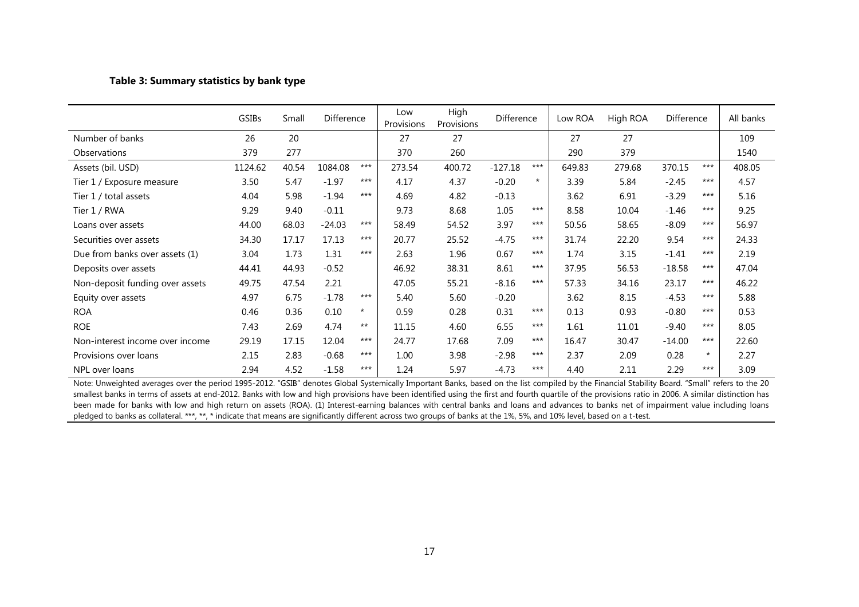#### **Table 3: Summary statistics by bank type**

|                                 | GSIBs   | Small | Difference |         | Low<br>Provisions | High<br>Provisions | Difference |         | Low ROA | High ROA | Difference |         | All banks |
|---------------------------------|---------|-------|------------|---------|-------------------|--------------------|------------|---------|---------|----------|------------|---------|-----------|
| Number of banks                 | 26      | 20    |            |         | 27                | 27                 |            |         | 27      | 27       |            |         | 109       |
| Observations                    | 379     | 277   |            |         | 370               | 260                |            |         | 290     | 379      |            |         | 1540      |
| Assets (bil. USD)               | 1124.62 | 40.54 | 1084.08    | $***$   | 273.54            | 400.72             | $-127.18$  | $***$   | 649.83  | 279.68   | 370.15     | $***$   | 408.05    |
| Tier 1 / Exposure measure       | 3.50    | 5.47  | $-1.97$    | $***$   | 4.17              | 4.37               | $-0.20$    | $\star$ | 3.39    | 5.84     | $-2.45$    | $***$   | 4.57      |
| Tier 1 / total assets           | 4.04    | 5.98  | $-1.94$    | $***$   | 4.69              | 4.82               | $-0.13$    |         | 3.62    | 6.91     | $-3.29$    | ***     | 5.16      |
| Tier 1 / RWA                    | 9.29    | 9.40  | $-0.11$    |         | 9.73              | 8.68               | 1.05       | ***     | 8.58    | 10.04    | $-1.46$    | ***     | 9.25      |
| Loans over assets               | 44.00   | 68.03 | $-24.03$   | $***$   | 58.49             | 54.52              | 3.97       | ***     | 50.56   | 58.65    | $-8.09$    | ***     | 56.97     |
| Securities over assets          | 34.30   | 17.17 | 17.13      | ***     | 20.77             | 25.52              | $-4.75$    | ***     | 31.74   | 22.20    | 9.54       | ***     | 24.33     |
| Due from banks over assets (1)  | 3.04    | 1.73  | 1.31       | $***$   | 2.63              | 1.96               | 0.67       | $***$   | 1.74    | 3.15     | $-1.41$    | $***$   | 2.19      |
| Deposits over assets            | 44.41   | 44.93 | $-0.52$    |         | 46.92             | 38.31              | 8.61       | $***$   | 37.95   | 56.53    | $-18.58$   | ***     | 47.04     |
| Non-deposit funding over assets | 49.75   | 47.54 | 2.21       |         | 47.05             | 55.21              | $-8.16$    | $***$   | 57.33   | 34.16    | 23.17      | ***     | 46.22     |
| Equity over assets              | 4.97    | 6.75  | $-1.78$    | $***$   | 5.40              | 5.60               | $-0.20$    |         | 3.62    | 8.15     | $-4.53$    | $***$   | 5.88      |
| <b>ROA</b>                      | 0.46    | 0.36  | 0.10       | $\star$ | 0.59              | 0.28               | 0.31       | ***     | 0.13    | 0.93     | $-0.80$    | ***     | 0.53      |
| <b>ROE</b>                      | 7.43    | 2.69  | 4.74       | $***$   | 11.15             | 4.60               | 6.55       | ***     | 1.61    | 11.01    | $-9.40$    | ***     | 8.05      |
| Non-interest income over income | 29.19   | 17.15 | 12.04      | $***$   | 24.77             | 17.68              | 7.09       | $***$   | 16.47   | 30.47    | $-14.00$   | ***     | 22.60     |
| Provisions over loans           | 2.15    | 2.83  | $-0.68$    | $***$   | 1.00              | 3.98               | $-2.98$    | $***$   | 2.37    | 2.09     | 0.28       | $\star$ | 2.27      |
| NPL over loans                  | 2.94    | 4.52  | $-1.58$    | ***     | 1.24              | 5.97               | $-4.73$    | $***$   | 4.40    | 2.11     | 2.29       | $***$   | 3.09      |

Note: Unweighted averages over the period 1995-2012. "GSIB" denotes Global Systemically Important Banks, based on the list compiled by the Financial Stability Board. "Small" refers to the 20 smallest banks in terms of assets at end-2012. Banks with low and high provisions have been identified using the first and fourth quartile of the provisions ratio in 2006. A similar distinction has been made for banks with low and high return on assets (ROA). (1) Interest-earning balances with central banks and loans and advances to banks net of impairment value including loans pledged to banks as collateral. \*\*\*, \*\*, \* indicate that means are significantly different across two groups of banks at the 1%, 5%, and 10% level, based on a t-test.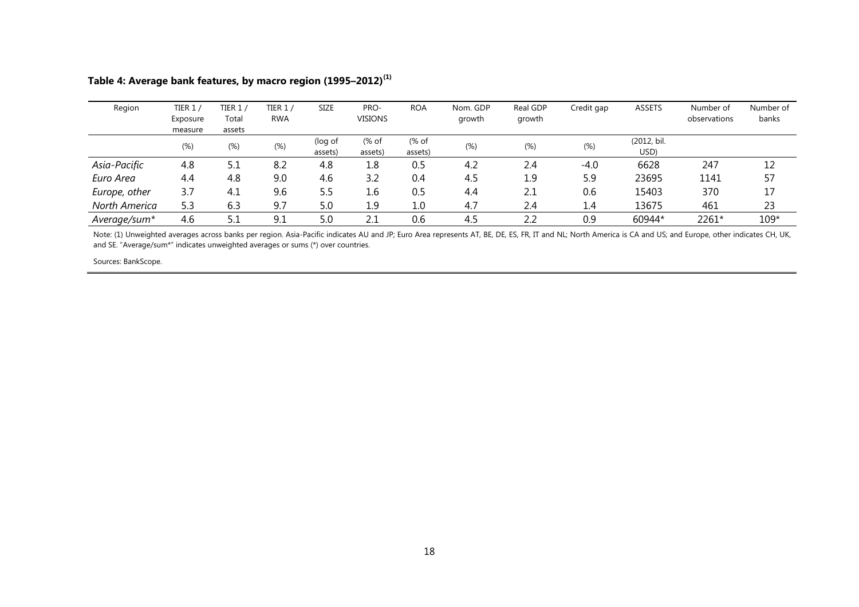| Region        | TIER 1 ,<br>Exposure<br>measure | TIER 1 $/$<br>Total<br>assets | TIER 1/<br><b>RWA</b> | <b>SIZE</b>        | PRO-<br><b>VISIONS</b> | <b>ROA</b>       | Nom. GDP<br>growth | Real GDP<br>growth | Credit gap | <b>ASSETS</b>       | Number of<br>observations | Number of<br>banks |
|---------------|---------------------------------|-------------------------------|-----------------------|--------------------|------------------------|------------------|--------------------|--------------------|------------|---------------------|---------------------------|--------------------|
|               | $(\%)$                          | (%)                           | $(\%)$                | (log of<br>assets) | (% of<br>assets)       | (% of<br>assets) | $(\%)$             | $(\%)$             | $(\%)$     | (2012, bil.<br>USD) |                           |                    |
| Asia-Pacific  | 4.8                             | 5.1                           | 8.2                   | 4.8                | 1.8                    | 0.5              | 4.2                | 2.4                | $-4.0$     | 6628                | 247                       | 12                 |
| Euro Area     | 4.4                             | 4.8                           | 9.0                   | 4.6                | 3.2                    | 0.4              | 4.5                | 1.9                | 5.9        | 23695               | 1141                      | 57                 |
| Europe, other | 3.7                             | 4.1                           | 9.6                   | 5.5                | 1.6                    | 0.5              | 4.4                | 2.1                | 0.6        | 15403               | 370                       | 17                 |
| North America | 5.3                             | 6.3                           | 9.7                   | 5.0                | 1.9                    | $1.0\,$          | 4.7                | 2.4                | 1.4        | 13675               | 461                       | 23                 |
| Average/sum*  | 4.6                             | 5.1                           | 9.1                   | 5.0                | 2.1                    | 0.6              | 4.5                | 2.2                | 0.9        | 60944*              | 2261*                     | $109*$             |

## **Table 4: Average bank features, by macro region (1995–2012)(1)**

Note: (1) Unweighted averages across banks per region. Asia-Pacific indicates AU and JP; Euro Area represents AT, BE, DE, ES, FR, IT and NL; North America is CA and US; and Europe, other indicates CH, UK, and SE. "Average/sum\*" indicates unweighted averages or sums (\*) over countries.

Sources: BankScope.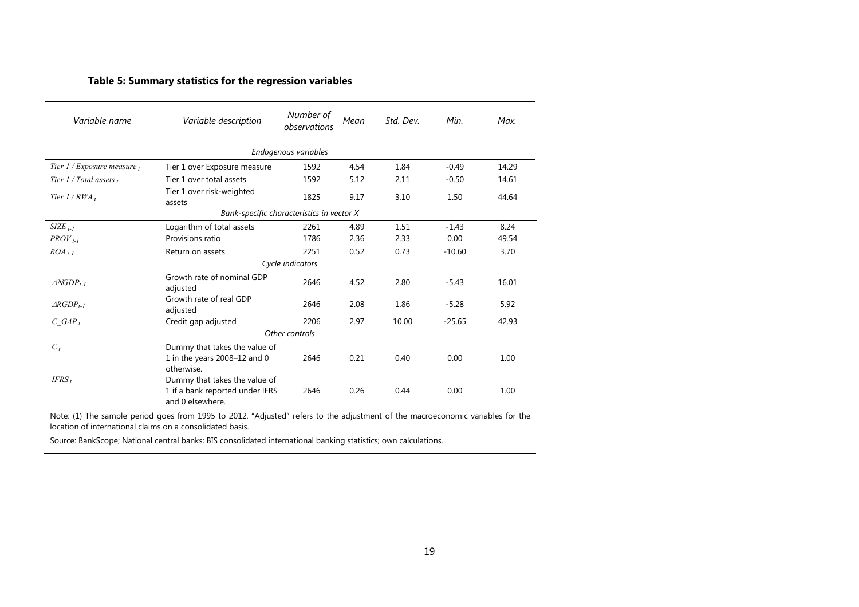### **Table 5: Summary statistics for the regression variables**

| Variable name                 | Variable description                                | Number of<br>observations                 | Mean | Std. Dev. | Min.     | Max.  |
|-------------------------------|-----------------------------------------------------|-------------------------------------------|------|-----------|----------|-------|
|                               |                                                     | Endogenous variables                      |      |           |          |       |
| Tier 1 / Exposure measure $t$ | Tier 1 over Exposure measure                        | 1592                                      | 4.54 | 1.84      | $-0.49$  | 14.29 |
| Tier $1/T$ otal assets,       | Tier 1 over total assets                            | 1592                                      | 5.12 | 2.11      | $-0.50$  | 14.61 |
| Tier $1 / RWA_t$              | Tier 1 over risk-weighted<br>assets                 | 1825                                      | 9.17 | 3.10      | 1.50     | 44.64 |
|                               |                                                     | Bank-specific characteristics in vector X |      |           |          |       |
| $SIZE_{t-1}$                  | Logarithm of total assets                           | 2261                                      | 4.89 | 1.51      | $-1.43$  | 8.24  |
| $PROV_{t-1}$                  | Provisions ratio                                    | 1786                                      | 2.36 | 2.33      | 0.00     | 49.54 |
| $ROA_{t-1}$                   | Return on assets                                    | 2251                                      | 0.52 | 0.73      | $-10.60$ | 3.70  |
|                               |                                                     | Cycle indicators                          |      |           |          |       |
| $\triangle NGDP_{t-1}$        | Growth rate of nominal GDP<br>adjusted              | 2646                                      | 4.52 | 2.80      | $-5.43$  | 16.01 |
| $\triangle RGDP_{t-1}$        | Growth rate of real GDP<br>adjusted                 | 2646                                      | 2.08 | 1.86      | $-5.28$  | 5.92  |
| $C \ GAP_t$                   | Credit gap adjusted                                 | 2206                                      | 2.97 | 10.00     | $-25.65$ | 42.93 |
|                               |                                                     | Other controls                            |      |           |          |       |
| $C_t$                         | Dummy that takes the value of                       |                                           |      |           |          |       |
|                               | 1 in the years 2008-12 and 0                        | 2646                                      | 0.21 | 0.40      | 0.00     | 1.00  |
| $IFRS_t$                      | otherwise.<br>Dummy that takes the value of         |                                           |      |           |          |       |
|                               | 1 if a bank reported under IFRS<br>and 0 elsewhere. | 2646                                      | 0.26 | 0.44      | 0.00     | 1.00  |

Note: (1) The sample period goes from 1995 to 2012. "Adjusted" refers to the adjustment of the macroeconomic variables for the location of international claims on a consolidated basis.

Source: BankScope; National central banks; BIS consolidated international banking statistics; own calculations.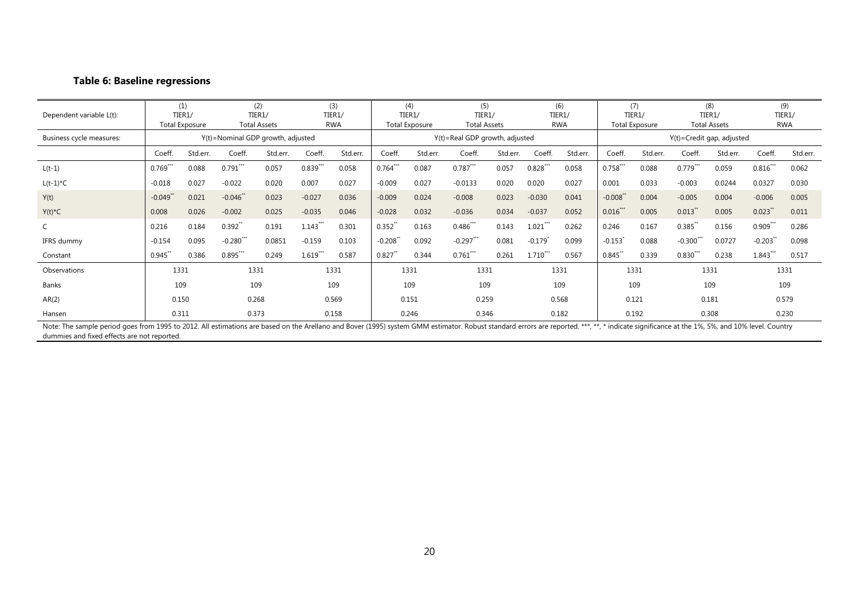### **Table 6: Baseline regressions**

| Dependent variable L(t):                                                                                                                                                                                                                                                     |            | (1)<br>TIER1/<br><b>Total Exposure</b> |                                   | (2)<br>TIER1/<br><b>Total Assets</b> |            | (3)<br>TIER1/<br><b>RWA</b> |            | (4)<br>TIER1/<br><b>Total Exposure</b> | (5)<br>TIER1/<br><b>Total Assets</b> |          |                       | (6)<br>TIER1/<br><b>RWA</b> |             | (7)<br>TIER1/<br><b>Total Exposure</b> |              | (8)<br>TIER1/<br><b>Total Assets</b> |                      | (9)<br>TIER1/<br><b>RWA</b> |
|------------------------------------------------------------------------------------------------------------------------------------------------------------------------------------------------------------------------------------------------------------------------------|------------|----------------------------------------|-----------------------------------|--------------------------------------|------------|-----------------------------|------------|----------------------------------------|--------------------------------------|----------|-----------------------|-----------------------------|-------------|----------------------------------------|--------------|--------------------------------------|----------------------|-----------------------------|
| Business cycle measures:                                                                                                                                                                                                                                                     |            |                                        | Y(t)=Nominal GDP growth, adjusted |                                      |            |                             |            |                                        | Y(t)=Real GDP growth, adjusted       |          |                       |                             |             |                                        |              | $Y(t)$ =Credit gap, adjusted         |                      |                             |
|                                                                                                                                                                                                                                                                              | Coeff.     | Std.err.                               | Coeff.                            | Std.err.                             | Coeff.     | Std.err.                    | Coeff.     | Std.err.                               | Coeff.                               | Std.err. | Coeff.                | Std.err.                    | Coeff.      | Std.err.                               | Coeff.       | Std.err.                             | Coeff.               | Std.err.                    |
| $L(t-1)$                                                                                                                                                                                                                                                                     | $0.769***$ | 0.088                                  | $0.791***$                        | 0.057                                | $0.839***$ | 0.058                       | $0.764***$ | 0.087                                  | $0.787***$                           | 0.057    | $0.828***$            | 0.058                       | $0.758***$  | 0.088                                  | $0.779***$   | 0.059                                | $0.816***$           | 0.062                       |
| $L(t-1)^{\star}C$                                                                                                                                                                                                                                                            | $-0.018$   | 0.027                                  | $-0.022$                          | 0.020                                | 0.007      | 0.027                       | $-0.009$   | 0.027                                  | $-0.0133$                            | 0.020    | 0.020                 | 0.027                       | 0.001       | 0.033                                  | $-0.003$     | 0.0244                               | 0.0327               | 0.030                       |
| Y(t)                                                                                                                                                                                                                                                                         | $-0.049$ * | 0.021                                  | $-0.046$ **                       | 0.023                                | $-0.027$   | 0.036                       | $-0.009$   | 0.024                                  | $-0.008$                             | 0.023    | $-0.030$              | 0.041                       | $-0.008"$   | 0.004                                  | $-0.005$     | 0.004                                | $-0.006$             | 0.005                       |
| $Y(t)^*C$                                                                                                                                                                                                                                                                    | 0.008      | 0.026                                  | $-0.002$                          | 0.025                                | $-0.035$   | 0.046                       | $-0.028$   | 0.032                                  | $-0.036$                             | 0.034    | $-0.037$              | 0.052                       | $0.016$ *** | 0.005                                  | $0.013$ **   | 0.005                                | $0.023$ <sup>*</sup> | 0.011                       |
| C                                                                                                                                                                                                                                                                            | 0.216      | 0.184                                  | $0.392$ <sup>**</sup>             | 0.191                                | $1.143***$ | 0.301                       | $0.352$ ** | 0.163                                  | $0.486***$                           | 0.143    | $1.021***$            | 0.262                       | 0.246       | 0.167                                  | $0.385**$    | 0.156                                | $0.909$ ***          | 0.286                       |
| IFRS dummy                                                                                                                                                                                                                                                                   | $-0.154$   | 0.095                                  | $-0.280$ ***                      | 0.0851                               | $-0.159$   | 0.103                       | $-0.208"$  | 0.092                                  | $-0.297***$                          | 0.081    | $-0.179$ <sup>*</sup> | 0.099                       | $-0.153$    | 0.088                                  | $-0.300$ *** | 0.0727                               | $-0.203$ **          | 0.098                       |
| Constant                                                                                                                                                                                                                                                                     | 0.945      | 0.386                                  | $0.895***$                        | 0.249                                | 1.619      | 0.587                       | $0.827$ ** | 0.344                                  | 0.761                                | 0.261    | $1.710^{n}$           | 0.567                       | $0.845$ **  | 0.339                                  | 0.830        | 0.238                                | $1.843$ <sup>"</sup> | 0.517                       |
| Observations                                                                                                                                                                                                                                                                 |            | 1331                                   | 1331                              |                                      |            | 1331                        |            | 1331                                   | 1331                                 |          |                       | 1331                        |             | 1331                                   |              | 1331                                 |                      | 1331                        |
| Banks                                                                                                                                                                                                                                                                        |            | 109                                    | 109                               |                                      |            | 109                         |            | 109                                    | 109                                  |          |                       | 109                         |             | 109                                    |              | 109                                  |                      | 109                         |
| AR(2)                                                                                                                                                                                                                                                                        |            | 0.150                                  | 0.268                             |                                      |            | 0.569                       |            | 0.151                                  | 0.259                                |          |                       | 0.568                       |             | 0.121                                  |              | 0.181                                |                      | 0.579                       |
| Hansen                                                                                                                                                                                                                                                                       | 0.311      |                                        | 0.373                             |                                      |            | 0.158                       |            | 0.246                                  | 0.346                                |          |                       | 0.182                       |             | 0.192                                  |              | 0.308                                |                      | 0.230                       |
| Note: The sample period goes from 1995 to 2012. All estimations are based on the Arellano and Bover (1995) system GMM estimator. Robust standard errors are reported. ***, **, * indicate significance at the 1%, 5%, and 10%<br>dummies and fixed effects are not reported. |            |                                        |                                   |                                      |            |                             |            |                                        |                                      |          |                       |                             |             |                                        |              |                                      |                      |                             |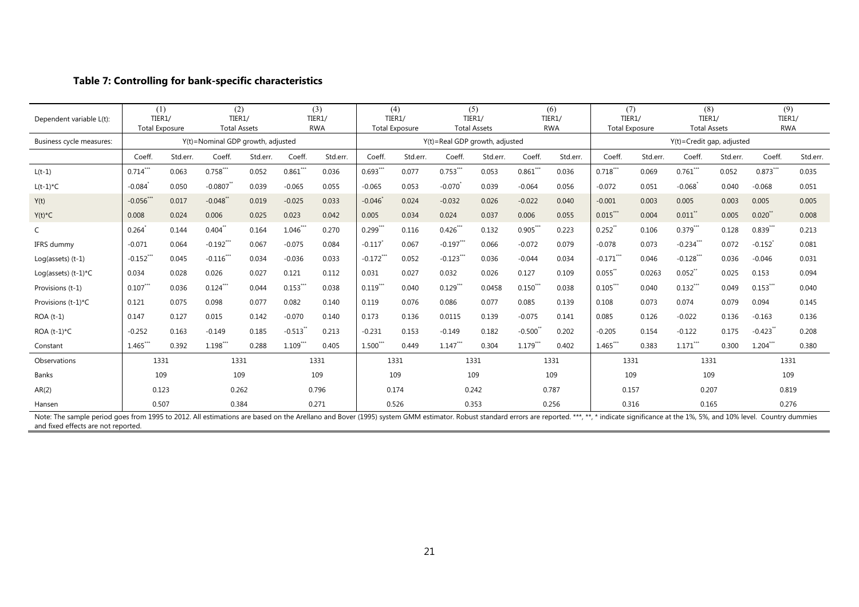# **Table 7: Controlling for bank-specific characteristics**

| Dependent variable L(t):                                                                                                                                                                                                      |             | (1)<br>TIER1/<br><b>Total Exposure</b> | (2)<br>TIER1/<br><b>Total Assets</b> |          |                       | (3)<br>TIER1/<br><b>RWA</b> |             | (4)<br>TIER1/<br><b>Total Exposure</b> |                                | (5)<br>TIER1/<br><b>Total Assets</b> |             | (6)<br>TIER1/<br><b>RWA</b> |              | (7)<br>TIER1/<br><b>Total Exposure</b> | (8)<br>TIER1/<br><b>Total Assets</b> |          | (9)<br>TIER1/<br><b>RWA</b> |          |
|-------------------------------------------------------------------------------------------------------------------------------------------------------------------------------------------------------------------------------|-------------|----------------------------------------|--------------------------------------|----------|-----------------------|-----------------------------|-------------|----------------------------------------|--------------------------------|--------------------------------------|-------------|-----------------------------|--------------|----------------------------------------|--------------------------------------|----------|-----------------------------|----------|
| Business cycle measures:                                                                                                                                                                                                      |             |                                        | Y(t)=Nominal GDP growth, adjusted    |          |                       |                             |             |                                        | Y(t)=Real GDP growth, adjusted |                                      |             |                             |              |                                        | Y(t)=Credit gap, adjusted            |          |                             |          |
|                                                                                                                                                                                                                               | Coeff.      | Std.err.                               | Coeff.                               | Std.err. | Coeff.                | Std.err.                    | Coeff.      | Std.err.                               | Coeff.                         | Std.err.                             | Coeff.      | Std.err.                    | Coeff.       | Std.err.                               | Coeff.                               | Std.err. | Coeff.                      | Std.err. |
| $L(t-1)$                                                                                                                                                                                                                      | $0.714$ *** | 0.063                                  | $0.758***$                           | 0.052    | $0.861***$            | 0.036                       | $0.693***$  | 0.077                                  | $0.753***$                     | 0.053                                | $0.861$ *** | 0.036                       | $0.718***$   | 0.069                                  | $0.761***$                           | 0.052    | $0.873***$                  | 0.035    |
| $L(t-1)*C$                                                                                                                                                                                                                    | $-0.084$    | 0.050                                  | $-0.0807$                            | 0.039    | $-0.065$              | 0.055                       | $-0.065$    | 0.053                                  | $-0.070$                       | 0.039                                | $-0.064$    | 0.056                       | $-0.072$     | 0.051                                  | $-0.068$                             | 0.040    | $-0.068$                    | 0.051    |
| Y(t)                                                                                                                                                                                                                          | $-0.056***$ | 0.017                                  | $-0.048$ **                          | 0.019    | $-0.025$              | 0.033                       | $-0.046'$   | 0.024                                  | $-0.032$                       | 0.026                                | $-0.022$    | 0.040                       | $-0.001$     | 0.003                                  | 0.005                                | 0.003    | 0.005                       | 0.005    |
| $Y(t)^*C$                                                                                                                                                                                                                     | 0.008       | 0.024                                  | 0.006                                | 0.025    | 0.023                 | 0.042                       | 0.005       | 0.034                                  | 0.024                          | 0.037                                | 0.006       | 0.055                       | $0.015***$   | 0.004                                  | $0.011$ <sup>*</sup>                 | 0.005    | 0.020                       | 0.008    |
| C                                                                                                                                                                                                                             | 0.264       | 0.144                                  | $0.404$ **                           | 0.164    | $1.046$ **            | 0.270                       | $0.299***$  | 0.116                                  | $0.426***$                     | 0.132                                | $0.905***$  | 0.223                       | $0.252$ **   | 0.106                                  | $0.379***$                           | 0.128    | $0.839$ **                  | 0.213    |
| IFRS dummy                                                                                                                                                                                                                    | $-0.071$    | 0.064                                  | $-0.192***$                          | 0.067    | $-0.075$              | 0.084                       | $-0.117$    | 0.067                                  | $-0.197***$                    | 0.066                                | $-0.072$    | 0.079                       | $-0.078$     | 0.073                                  | $-0.234***$                          | 0.072    | $-0.152$ <sup>*</sup>       | 0.081    |
| $Log(asserts)$ $(t-1)$                                                                                                                                                                                                        | $-0.152$ ** | 0.045                                  | $-0.116***$                          | 0.034    | $-0.036$              | 0.033                       | $-0.172$ ** | 0.052                                  | $-0.123***$                    | 0.036                                | $-0.044$    | 0.034                       | $-0.171$ *** | 0.046                                  | $-0.128***$                          | 0.036    | $-0.046$                    | 0.031    |
| Log(assets) $(t-1)^{\star}C$                                                                                                                                                                                                  | 0.034       | 0.028                                  | 0.026                                | 0.027    | 0.121                 | 0.112                       | 0.031       | 0.027                                  | 0.032                          | 0.026                                | 0.127       | 0.109                       | $0.055$ **   | 0.0263                                 | $0.052$ **                           | 0.025    | 0.153                       | 0.094    |
| Provisions (t-1)                                                                                                                                                                                                              | $0.107$ *** | 0.036                                  | $0.124$ ***                          | 0.044    | $0.153$ ***           | 0.038                       | $0.119$ *** | 0.040                                  | $0.129***$                     | 0.0458                               | $0.150$ **  | 0.038                       | $0.105***$   | 0.040                                  | $0.132$ ***                          | 0.049    | 0.153                       | 0.040    |
| Provisions (t-1)*C                                                                                                                                                                                                            | 0.121       | 0.075                                  | 0.098                                | 0.077    | 0.082                 | 0.140                       | 0.119       | 0.076                                  | 0.086                          | 0.077                                | 0.085       | 0.139                       | 0.108        | 0.073                                  | 0.074                                | 0.079    | 0.094                       | 0.145    |
| ROA (t-1)                                                                                                                                                                                                                     | 0.147       | 0.127                                  | 0.015                                | 0.142    | $-0.070$              | 0.140                       | 0.173       | 0.136                                  | 0.0115                         | 0.139                                | $-0.075$    | 0.141                       | 0.085        | 0.126                                  | $-0.022$                             | 0.136    | $-0.163$                    | 0.136    |
| ROA $(t-1)^{\star}C$                                                                                                                                                                                                          | $-0.252$    | 0.163                                  | $-0.149$                             | 0.185    | $-0.513$ <sup>*</sup> | 0.213                       | $-0.231$    | 0.153                                  | $-0.149$                       | 0.182                                | $-0.500*$   | 0.202                       | $-0.205$     | 0.154                                  | $-0.122$                             | 0.175    | $-0.423$                    | 0.208    |
| Constant                                                                                                                                                                                                                      | $1.465***$  | 0.392                                  | 1.198***                             | 0.288    | $1.109***$            | 0.405                       | $1.500***$  | 0.449                                  | $1.147***$                     | 0.304                                | $1.179***$  | 0.402                       | 1.465***     | 0.383                                  | $1.171$ <sup>***</sup>               | 0.300    | $1.204***$                  | 0.380    |
| Observations                                                                                                                                                                                                                  |             | 1331                                   | 1331                                 |          |                       | 1331                        |             | 1331                                   |                                | 1331                                 |             | 1331                        | 1331         |                                        | 1331                                 |          | 1331                        |          |
| Banks                                                                                                                                                                                                                         | 109         |                                        | 109                                  |          |                       | 109                         |             | 109                                    |                                | 109                                  |             | 109                         |              | 109                                    | 109                                  |          | 109                         |          |
| AR(2)                                                                                                                                                                                                                         | 0.123       |                                        | 0.262                                |          |                       | 0.796                       |             | 0.174                                  |                                | 0.242                                |             | 0.787                       | 0.157        |                                        | 0.207                                |          | 0.819                       |          |
| Hansen                                                                                                                                                                                                                        | 0.507       |                                        | 0.384                                |          |                       | 0.271                       |             | 0.526                                  |                                | 0.353                                |             | 0.256                       |              | 0.316                                  | 0.165                                |          | 0.276                       |          |
| Note: The sample period goes from 1995 to 2012. All estimations are based on the Arellano and Bover (1995) system GMM estimator. Robust standard errors are reported. ***, **, * indicate significance at the 1%, 5%, and 10% |             |                                        |                                      |          |                       |                             |             |                                        |                                |                                      |             |                             |              |                                        |                                      |          |                             |          |

and fixed effects are not reported.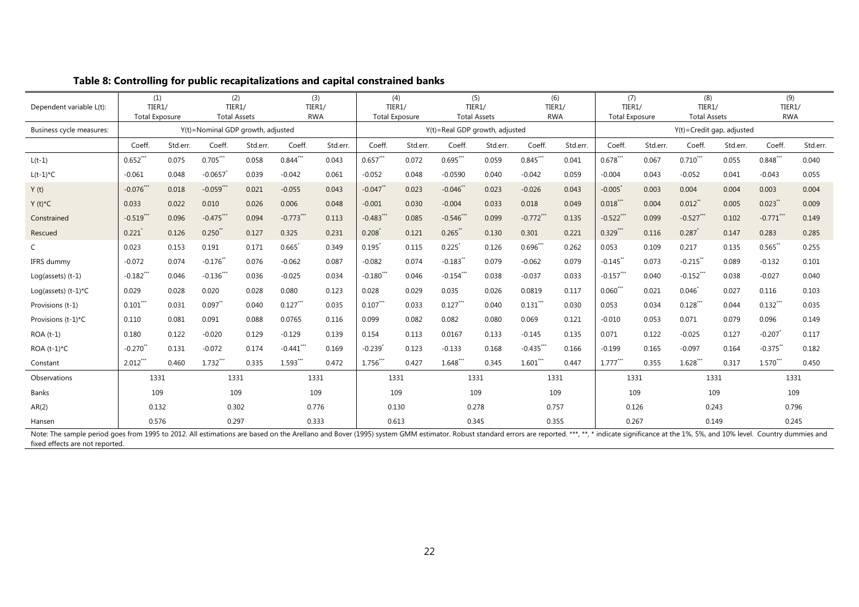| Dependent variable L(t):                                                                                                                                                                                                                                         | (1)<br>TIER1/<br><b>Total Exposure</b> |          | (2)<br>TIER1/<br><b>Total Assets</b> |          | (3)<br>TIER1/<br><b>RWA</b> |          | TIER1/      | (4)<br><b>Total Exposure</b> | (5)<br>TIER1/<br><b>Total Assets</b> |          | (6)<br>TIER1/<br><b>RWA</b> |          | (7)<br>TIER1/<br><b>Total Exposure</b> |          | (8)<br>TIER1/<br><b>Total Assets</b> |          | (9)<br>TIER1/<br><b>RWA</b> |          |
|------------------------------------------------------------------------------------------------------------------------------------------------------------------------------------------------------------------------------------------------------------------|----------------------------------------|----------|--------------------------------------|----------|-----------------------------|----------|-------------|------------------------------|--------------------------------------|----------|-----------------------------|----------|----------------------------------------|----------|--------------------------------------|----------|-----------------------------|----------|
| Business cycle measures:                                                                                                                                                                                                                                         |                                        |          | Y(t)=Nominal GDP growth, adjusted    |          |                             |          |             |                              | Y(t)=Real GDP growth, adjusted       |          |                             |          |                                        |          | Y(t)=Credit gap, adjusted            |          |                             |          |
|                                                                                                                                                                                                                                                                  | Coeff.                                 | Std.err. | Coeff.                               | Std.err. | Coeff.                      | Std.err. | Coeff.      | Std.err.                     | Coeff.                               | Std.err. | Coeff.                      | Std.err. | Coeff.                                 | Std.err. | Coeff.                               | Std.err. | Coeff.                      | Std.err. |
| $L(t-1)$                                                                                                                                                                                                                                                         | $0.652***$                             | 0.075    | $0.705***$                           | 0.058    | $0.844***$                  | 0.043    | $0.657***$  | 0.072                        | $0.695***$                           | 0.059    | $0.845***$                  | 0.041    | $0.678***$                             | 0.067    | $0.710***$                           | 0.055    | $0.848***$                  | 0.040    |
| $L(t-1)*C$                                                                                                                                                                                                                                                       | $-0.061$                               | 0.048    | $-0.0657$                            | 0.039    | $-0.042$                    | 0.061    | $-0.052$    | 0.048                        | $-0.0590$                            | 0.040    | $-0.042$                    | 0.059    | $-0.004$                               | 0.043    | $-0.052$                             | 0.041    | $-0.043$                    | 0.055    |
| Y(t)                                                                                                                                                                                                                                                             | $-0.076$ ***                           | 0.018    | $-0.059***$                          | 0.021    | $-0.055$                    | 0.043    | $-0.047$ ** | 0.023                        | $-0.046$                             | 0.023    | $-0.026$                    | 0.043    | $-0.005$                               | 0.003    | 0.004                                | 0.004    | 0.003                       | 0.004    |
| $Y(t)^*C$                                                                                                                                                                                                                                                        | 0.033                                  | 0.022    | 0.010                                | 0.026    | 0.006                       | 0.048    | $-0.001$    | 0.030                        | $-0.004$                             | 0.033    | 0.018                       | 0.049    | $0.018***$                             | 0.004    | $0.012$ <sup>**</sup>                | 0.005    | 0.023                       | 0.009    |
| Constrained                                                                                                                                                                                                                                                      | $-0.519$ ***                           | 0.096    | $-0.475***$                          | 0.094    | $-0.773$ ***                | 0.113    | $-0.483$ ** | 0.085                        | $-0.546$ **                          | 0.099    | $-0.772$ <sup>***</sup>     | 0.135    | $-0.522***$                            | 0.099    | $-0.527$ ***                         | 0.102    | $-0.771$ <sup>**</sup>      | 0.149    |
| Rescued                                                                                                                                                                                                                                                          | 0.221                                  | 0.126    | 0.250                                | 0.127    | 0.325                       | 0.231    | 0.208       | 0.121                        | 0.265                                | 0.130    | 0.301                       | 0.221    | $0.329***$                             | 0.116    | 0.287                                | 0.147    | 0.283                       | 0.285    |
| C                                                                                                                                                                                                                                                                | 0.023                                  | 0.153    | 0.191                                | 0.171    | $0.665*$                    | 0.349    | $0.195*$    | 0.115                        | 0.225                                | 0.126    | $0.696$ **                  | 0.262    | 0.053                                  | 0.109    | 0.217                                | 0.135    | $0.565$ **                  | 0.255    |
| IFRS dummy                                                                                                                                                                                                                                                       | $-0.072$                               | 0.074    | $-0.176$                             | 0.076    | $-0.062$                    | 0.087    | $-0.082$    | 0.074                        | $-0.183$ <sup>**</sup>               | 0.079    | $-0.062$                    | 0.079    | $-0.145$ **                            | 0.073    | $-0.215$                             | 0.089    | $-0.132$                    | 0.101    |
| $Log(asserts)$ $(t-1)$                                                                                                                                                                                                                                           | $-0.182$ **                            | 0.046    | $-0.136***$                          | 0.036    | $-0.025$                    | 0.034    | $-0.180$ ** | 0.046                        | $-0.154***$                          | 0.038    | $-0.037$                    | 0.033    | $-0.157$ **                            | 0.040    | $-0.152$ ***                         | 0.038    | $-0.027$                    | 0.040    |
| Log(assets) $(t-1)^{\star}C$                                                                                                                                                                                                                                     | 0.029                                  | 0.028    | 0.020                                | 0.028    | 0.080                       | 0.123    | 0.028       | 0.029                        | 0.035                                | 0.026    | 0.0819                      | 0.117    | $0.060$ ***                            | 0.021    | $0.046^{*}$                          | 0.027    | 0.116                       | 0.103    |
| Provisions (t-1)                                                                                                                                                                                                                                                 | $0.101$ **                             | 0.031    | 0.097                                | 0.040    | $0.127***$                  | 0.035    | $0.107$ **  | 0.033                        | $0.127$ **                           | 0.040    | $0.131$ **                  | 0.030    | 0.053                                  | 0.034    | $0.128***$                           | 0.044    | $0.132$ **                  | 0.035    |
| Provisions (t-1)*C                                                                                                                                                                                                                                               | 0.110                                  | 0.081    | 0.091                                | 0.088    | 0.0765                      | 0.116    | 0.099       | 0.082                        | 0.082                                | 0.080    | 0.069                       | 0.121    | $-0.010$                               | 0.053    | 0.071                                | 0.079    | 0.096                       | 0.149    |
| $ROA(t-1)$                                                                                                                                                                                                                                                       | 0.180                                  | 0.122    | $-0.020$                             | 0.129    | $-0.129$                    | 0.139    | 0.154       | 0.113                        | 0.0167                               | 0.133    | $-0.145$                    | 0.135    | 0.071                                  | 0.122    | $-0.025$                             | 0.127    | $-0.207$                    | 0.117    |
| ROA $(t-1)^{\star}C$                                                                                                                                                                                                                                             | $-0.270$                               | 0.131    | $-0.072$                             | 0.174    | $-0.441$ **                 | 0.169    | $-0.239$    | 0.123                        | $-0.133$                             | 0.168    | $-0.435$ **                 | 0.166    | $-0.199$                               | 0.165    | $-0.097$                             | 0.164    | $-0.375$ <sup>*</sup>       | 0.182    |
| Constant                                                                                                                                                                                                                                                         | $2.012$ <sup>**</sup>                  | 0.460    | $1.732***$                           | 0.335    | $1.593***$                  | 0.472    | 1.756***    | 0.427                        | $1.648$ **                           | 0.345    | $1.601$ ***                 | 0.447    | $1.777***$                             | 0.355    | $1.628***$                           | 0.317    | $1.570***$                  | 0.450    |
| Observations                                                                                                                                                                                                                                                     | 1331                                   |          | 1331                                 |          | 1331                        |          | 1331        |                              | 1331                                 |          | 1331                        |          | 1331                                   |          | 1331                                 |          | 1331                        |          |
| <b>Banks</b>                                                                                                                                                                                                                                                     | 109                                    |          | 109                                  |          | 109                         |          | 109         |                              | 109                                  |          | 109                         |          | 109                                    |          | 109                                  |          | 109                         |          |
| AR(2)                                                                                                                                                                                                                                                            | 0.132                                  |          | 0.302                                |          | 0.776                       |          | 0.130       |                              | 0.278                                |          | 0.757                       |          | 0.126                                  |          | 0.243                                |          | 0.796                       |          |
| Hansen                                                                                                                                                                                                                                                           | 0.576                                  |          | 0.297                                |          | 0.333                       |          | 0.613       |                              | 0.345                                |          | 0.355                       |          | 0.267                                  |          | 0.149                                |          | 0.245                       |          |
| Note: The sample period goes from 1995 to 2012. All estimations are based on the Arellano and Bover (1995) system GMM estimator. Robust standard errors are reported. ***, **, * indicate significance at the 1%, 5%, and 10%<br>fixed effects are not reported. |                                        |          |                                      |          |                             |          |             |                              |                                      |          |                             |          |                                        |          |                                      |          |                             |          |

# **Table 8: Controlling for public recapitalizations and capital constrained banks**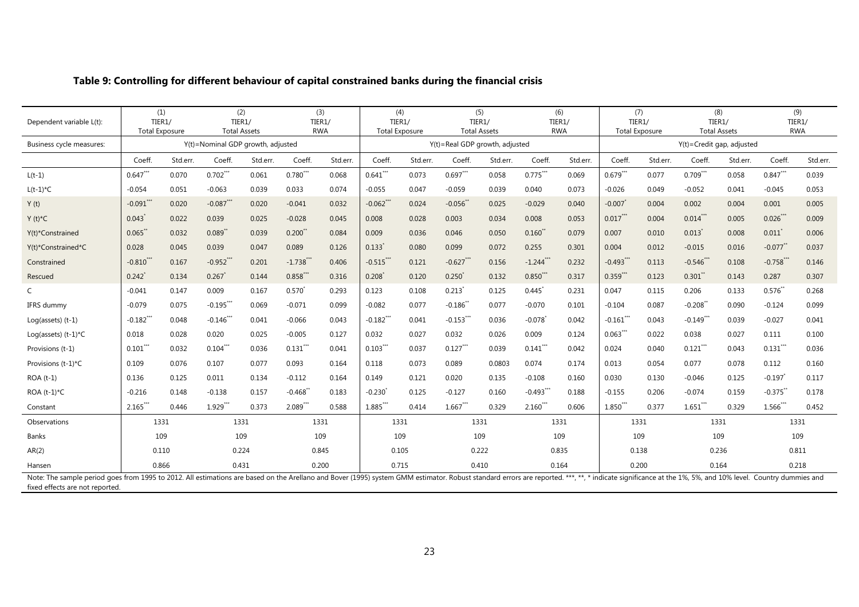| Dependent variable L(t):     | TIER1/               | (1)<br><b>Total Exposure</b> | TIER1/                            | (2)<br><b>Total Assets</b> | TIER1/<br><b>RWA</b> | (3)      | (4)<br>TIER1/<br><b>Total Exposure</b> |          | TIER1/                         | (5)<br><b>Total Assets</b> |                        | (6)<br>TIER1/<br><b>RWA</b> | TIER1/      | (7)<br>Total Exposure |                           | (8)<br>TIER1/<br><b>Total Assets</b> | TIER1/                | (9)<br><b>RWA</b> |
|------------------------------|----------------------|------------------------------|-----------------------------------|----------------------------|----------------------|----------|----------------------------------------|----------|--------------------------------|----------------------------|------------------------|-----------------------------|-------------|-----------------------|---------------------------|--------------------------------------|-----------------------|-------------------|
| Business cycle measures:     |                      |                              | Y(t)=Nominal GDP growth, adjusted |                            |                      |          |                                        |          | Y(t)=Real GDP growth, adjusted |                            |                        |                             |             |                       | Y(t)=Credit gap, adjusted |                                      |                       |                   |
|                              | Coeff.               | Std.err.                     | Coeff.                            | Std.err.                   | Coeff.               | Std.err. | Coeff.                                 | Std.err. | Coeff.                         | Std.err.                   | Coeff.                 | Std.err.                    | Coeff.      | Std.err.              | Coeff.                    | Std.err.                             | Coeff.                | Std.err.          |
| $L(t-1)$                     | $0.647***$           | 0.070                        | $0.702***$                        | 0.061                      | $0.780***$           | 0.068    | $0.641***$                             | 0.073    | $0.697***$                     | 0.058                      | $0.775***$             | 0.069                       | $0.679***$  | 0.077                 | $0.709***$                | 0.058                                | $0.847***$            | 0.039             |
| $L(t-1)*C$                   | $-0.054$             | 0.051                        | $-0.063$                          | 0.039                      | 0.033                | 0.074    | $-0.055$                               | 0.047    | $-0.059$                       | 0.039                      | 0.040                  | 0.073                       | $-0.026$    | 0.049                 | $-0.052$                  | 0.041                                | $-0.045$              | 0.053             |
| Y(t)                         | $-0.091***$          | 0.020                        | $-0.087***$                       | 0.020                      | $-0.041$             | 0.032    | $-0.062$ **                            | 0.024    | $-0.056$                       | 0.025                      | $-0.029$               | 0.040                       | $-0.007$    | 0.004                 | 0.002                     | 0.004                                | 0.001                 | 0.005             |
| $Y(t)^*C$                    | $0.043$ <sup>*</sup> | 0.022                        | 0.039                             | 0.025                      | $-0.028$             | 0.045    | 0.008                                  | 0.028    | 0.003                          | 0.034                      | 0.008                  | 0.053                       | $0.017***$  | 0.004                 | $0.014$ ***               | 0.005                                | 0.026                 | 0.009             |
| Y(t)*Constrained             | $0.065$ *            | 0.032                        | $0.089^{*}$                       | 0.039                      | 0.200                | 0.084    | 0.009                                  | 0.036    | 0.046                          | 0.050                      | $0.160^{*}$            | 0.079                       | 0.007       | 0.010                 | $0.013$ <sup>*</sup>      | 0.008                                | 0.011                 | 0.006             |
| Y(t)*Constrained*C           | 0.028                | 0.045                        | 0.039                             | 0.047                      | 0.089                | 0.126    | $0.133*$                               | 0.080    | 0.099                          | 0.072                      | 0.255                  | 0.301                       | 0.004       | 0.012                 | $-0.015$                  | 0.016                                | $-0.077$              | 0.037             |
| Constrained                  | $-0.810$ **          | 0.167                        | $-0.952$ **                       | 0.201                      | $-1.738$ **          | 0.406    | $-0.515***$                            | 0.121    | $-0.627$ **                    | 0.156                      | $-1.244$ **            | 0.232                       | $-0.493$ ** | 0.113                 | $-0.546$ **               | 0.108                                | $-0.758$ **           | 0.146             |
| Rescued                      | 0.242                | 0.134                        | 0.267                             | 0.144                      | $0.858**$            | 0.316    | 0.208                                  | 0.120    | 0.250                          | 0.132                      | $0.850^{''}$           | 0.317                       | $0.359***$  | 0.123                 | 0.301                     | 0.143                                | 0.287                 | 0.307             |
|                              | $-0.041$             | 0.147                        | 0.009                             | 0.167                      | $0.570^{*}$          | 0.293    | 0.123                                  | 0.108    | 0.213                          | 0.125                      | 0.445                  | 0.231                       | 0.047       | 0.115                 | 0.206                     | 0.133                                | $0.576^{*}$           | 0.268             |
| IFRS dummy                   | $-0.079$             | 0.075                        | $-0.195***$                       | 0.069                      | $-0.071$             | 0.099    | $-0.082$                               | 0.077    | $-0.186$                       | 0.077                      | $-0.070$               | 0.101                       | $-0.104$    | 0.087                 | $-0.208"$                 | 0.090                                | $-0.124$              | 0.099             |
| $Log(asserts)$ $(t-1)$       | $-0.182$ **          | 0.048                        | $-0.146$ **                       | 0.041                      | $-0.066$             | 0.043    | $-0.182$ **                            | 0.041    | $-0.153***$                    | 0.036                      | $-0.078$               | 0.042                       | $-0.161***$ | 0.043                 | $-0.149$ **               | 0.039                                | $-0.027$              | 0.041             |
| Log(assets) $(t-1)^{\star}C$ | 0.018                | 0.028                        | 0.020                             | 0.025                      | $-0.005$             | 0.127    | 0.032                                  | 0.027    | 0.032                          | 0.026                      | 0.009                  | 0.124                       | $0.063***$  | 0.022                 | 0.038                     | 0.027                                | 0.111                 | 0.100             |
| Provisions (t-1)             | $0.101$ "            | 0.032                        | $0.104$ ***                       | 0.036                      | $0.131$ ***          | 0.041    | $0.103***$                             | 0.037    | $0.127***$                     | 0.039                      | $0.141$ <sup>**</sup>  | 0.042                       | 0.024       | 0.040                 | $0.121$ ***               | 0.043                                | $0.131$ "             | 0.036             |
| Provisions (t-1)*C           | 0.109                | 0.076                        | 0.107                             | 0.077                      | 0.093                | 0.164    | 0.118                                  | 0.073    | 0.089                          | 0.0803                     | 0.074                  | 0.174                       | 0.013       | 0.054                 | 0.077                     | 0.078                                | 0.112                 | 0.160             |
| $ROA(t-1)$                   | 0.136                | 0.125                        | 0.011                             | 0.134                      | $-0.112$             | 0.164    | 0.149                                  | 0.121    | 0.020                          | 0.135                      | $-0.108$               | 0.160                       | 0.030       | 0.130                 | $-0.046$                  | 0.125                                | $-0.197$              | 0.117             |
| ROA $(t-1)^{\star}C$         | $-0.216$             | 0.148                        | $-0.138$                          | 0.157                      | $-0.468$             | 0.183    | $-0.230$                               | 0.125    | $-0.127$                       | 0.160                      | $-0.493$ **            | 0.188                       | $-0.155$    | 0.206                 | $-0.074$                  | 0.159                                | $-0.375$ <sup>*</sup> | 0.178             |
| Constant                     | $2.165$ ***          | 0.446                        | $1.929$ **                        | 0.373                      | $2.089$ ***          | 0.588    | $1.885***$                             | 0.414    | $1.667$ **                     | 0.329                      | $2.160$ <sup>***</sup> | 0.606                       | $1.850***$  | 0.377                 | $1.651$ ***               | 0.329                                | $1.566$ **            | 0.452             |
| Observations                 | 1331                 |                              | 1331                              |                            | 1331                 |          | 1331                                   |          |                                | 1331                       | 1331                   |                             |             | 1331                  |                           | 1331                                 |                       | 1331              |
| Banks                        |                      | 109                          |                                   | 109                        |                      | 109      | 109                                    |          | 109                            |                            |                        | 109                         | 109         |                       |                           | 109                                  |                       | 109               |
| AR(2)                        |                      | 0.110                        | 0.224                             |                            |                      | 0.845    | 0.105                                  |          |                                | 0.222                      | 0.835                  |                             | 0.138       |                       |                           | 0.236                                | 0.811                 |                   |
| Hansen                       |                      | 0.866                        | 0.431                             |                            | 0.200                |          | 0.715                                  |          |                                | 0.410                      | 0.164                  |                             | 0.200       |                       |                           | 0.164                                | 0.218                 |                   |

### **Table 9: Controlling for different behaviour of capital constrained banks during the financial crisis**

Note: The sample period goes from 1995 to 2012. All estimations are based on the Arellano and Bover (1995) system GMM estimator. Robust standard errors are reported. \*\*\*, \*\*, \* indicate significance at the 1%, 5%, and 10% fixed effects are not reported.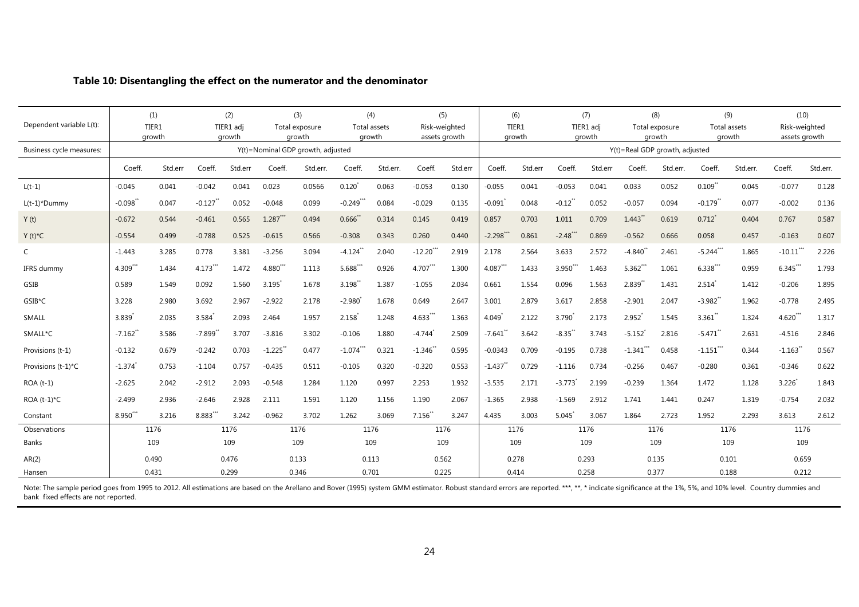|                          |                       | (1)     |                       | (2)       |            | (3)                                         |              | (4)          | (5)                   |         |              | (6)     |            | (7)       |              | (8)                                      |                       | (9)          | (10)          |          |
|--------------------------|-----------------------|---------|-----------------------|-----------|------------|---------------------------------------------|--------------|--------------|-----------------------|---------|--------------|---------|------------|-----------|--------------|------------------------------------------|-----------------------|--------------|---------------|----------|
| Dependent variable L(t): |                       | TIER1   |                       | TIER1 adj |            | Total exposure                              |              | Total assets | Risk-weighted         |         |              | TIER1   |            | TIER1 adi |              | Total exposure                           |                       | Total assets | Risk-weighted |          |
| Business cycle measures: |                       | growth  |                       | growth    |            | growth<br>Y(t)=Nominal GDP growth, adjusted |              | growth       | assets growth         |         |              | growth  |            | growth    |              | growth<br>Y(t)=Real GDP growth, adjusted |                       | growth       | assets growth |          |
|                          |                       |         |                       |           |            |                                             |              |              |                       |         |              |         |            |           |              |                                          |                       |              |               |          |
|                          | Coeff.                | Std.err | Coeff.                | Std.err   | Coeff.     | Std.err.                                    | Coeff.       | Std.err.     | Coeff.                | Std.err | Coeff.       | Std.err | Coeff.     | Std.err   | Coeff.       | Std.err.                                 | Coeff.                | Std.err.     | Coeff.        | Std.err. |
| $L(t-1)$                 | $-0.045$              | 0.041   | $-0.042$              | 0.041     | 0.023      | 0.0566                                      | $0.120^{*}$  | 0.063        | $-0.053$              | 0.130   | $-0.055$     | 0.041   | $-0.053$   | 0.041     | 0.033        | 0.052                                    | 0.109                 | 0.045        | $-0.077$      | 0.128    |
| $L(t-1)^*$ Dummy         | $-0.098$ <sup>*</sup> | 0.047   | $-0.127$ **           | 0.052     | $-0.048$   | 0.099                                       | $-0.249$ *** | 0.084        | $-0.029$              | 0.135   | $-0.091$     | 0.048   | $-0.12$ *  | 0.052     | $-0.057$     | 0.094                                    | $-0.179$ *            | 0.077        | $-0.002$      | 0.136    |
| Y(t)                     | $-0.672$              | 0.544   | $-0.461$              | 0.565     | $1.287***$ | 0.494                                       | 0.666        | 0.314        | 0.145                 | 0.419   | 0.857        | 0.703   | 1.011      | 0.709     | 1.443        | 0.619                                    | $0.712$ <sup>*</sup>  | 0.404        | 0.767         | 0.587    |
| $Y(t)^*C$                | $-0.554$              | 0.499   | $-0.788$              | 0.525     | $-0.615$   | 0.566                                       | $-0.308$     | 0.343        | 0.260                 | 0.440   | $-2.298$ *** | 0.861   | $-2.48***$ | 0.869     | $-0.562$     | 0.666                                    | 0.058                 | 0.457        | $-0.163$      | 0.607    |
| $\mathsf{C}$             | $-1.443$              | 3.285   | 0.778                 | 3.381     | $-3.256$   | 3.094                                       | $-4.124$ **  | 2.040        | $-12.20$ **           | 2.919   | 2.178        | 2.564   | 3.633      | 2.572     | $-4.840$ **  | 2.461                                    | $-5.244***$           | 1.865        | $-10.11$ **   | 2.226    |
| IFRS dummy               | 4.309**               | 1.434   | $4.173***$            | 1.472     | $4.880***$ | 1.113                                       | 5.688***     | 0.926        | $4.707***$            | 1.300   | $4.087***$   | 1.433   | 3.950***   | 1.463     | $5.362***$   | 1.061                                    | $6.338***$            | 0.959        | $6.345***$    | 1.793    |
| GSIB                     | 0.589                 | 1.549   | 0.092                 | 1.560     | 3.195      | 1.678                                       | 3.198        | 1.387        | $-1.055$              | 2.034   | 0.661        | 1.554   | 0.096      | 1.563     | 2.839        | 1.431                                    | 2.514                 | 1.412        | $-0.206$      | 1.895    |
| GSIB*C                   | 3.228                 | 2.980   | 3.692                 | 2.967     | $-2.922$   | 2.178                                       | $-2.980$     | 1.678        | 0.649                 | 2.647   | 3.001        | 2.879   | 3.617      | 2.858     | $-2.901$     | 2.047                                    | $-3.982$ <sup>*</sup> | 1.962        | $-0.778$      | 2.495    |
| SMALL                    | 3.839                 | 2.035   | 3.584                 | 2.093     | 2.464      | 1.957                                       | 2.158        | 1.248        | 4.633***              | 1.363   | 4.049        | 2.122   | 3.790      | 2.173     | 2.952        | 1.545                                    | 3.361                 | 1.324        | $4.620***$    | 1.317    |
| SMALL*C                  | $-7.162$ <sup>*</sup> | 3.586   | $-7.899$ <sup>*</sup> | 3.707     | $-3.816$   | 3.302                                       | $-0.106$     | 1.880        | $-4.744$ <sup>*</sup> | 2.509   | $-7.641$     | 3.642   | $-8.35$    | 3.743     | $-5.152$     | 2.816                                    | $-5.471$              | 2.631        | $-4.516$      | 2.846    |
| Provisions (t-1)         | $-0.132$              | 0.679   | $-0.242$              | 0.703     | $-1.225$   | 0.477                                       | $-1.074***$  | 0.321        | $-1.346$ **           | 0.595   | $-0.0343$    | 0.709   | $-0.195$   | 0.738     | $-1.341$ *** | 0.458                                    | $-1.151$ ***          | 0.344        | $-1.163$ **   | 0.567    |
| Provisions (t-1)*C       | $-1.374$              | 0.753   | $-1.104$              | 0.757     | $-0.435$   | 0.511                                       | $-0.105$     | 0.320        | $-0.320$              | 0.553   | $-1.437$     | 0.729   | $-1.116$   | 0.734     | $-0.256$     | 0.467                                    | $-0.280$              | 0.361        | $-0.346$      | 0.622    |
| ROA (t-1)                | $-2.625$              | 2.042   | $-2.912$              | 2.093     | $-0.548$   | 1.284                                       | 1.120        | 0.997        | 2.253                 | 1.932   | $-3.535$     | 2.171   | $-3.773$   | 2.199     | $-0.239$     | 1.364                                    | 1.472                 | 1.128        | 3.226         | 1.843    |
| ROA $(t-1)^{\star}C$     | $-2.499$              | 2.936   | $-2.646$              | 2.928     | 2.111      | 1.591                                       | 1.120        | 1.156        | 1.190                 | 2.067   | $-1.365$     | 2.938   | $-1.569$   | 2.912     | 1.741        | 1.441                                    | 0.247                 | 1.319        | $-0.754$      | 2.032    |
| Constant                 | 8.950**               | 3.216   | 8.883***              | 3.242     | $-0.962$   | 3.702                                       | 1.262        | 3.069        | $7.156$ **            | 3.247   | 4.435        | 3.003   | 5.045      | 3.067     | 1.864        | 2.723                                    | 1.952                 | 2.293        | 3.613         | 2.612    |
| Observations             |                       | 1176    |                       | 1176      |            | 1176                                        |              | 1176         | 1176                  |         |              | 1176    |            | 1176      |              | 1176                                     |                       | 1176         | 1176          |          |
| <b>Banks</b>             |                       | 109     |                       | 109       |            | 109                                         |              | 109          | 109                   |         |              | 109     |            | 109       |              | 109                                      |                       | 109          | 109           |          |
| AR(2)                    |                       | 0.490   |                       | 0.476     |            | 0.133                                       |              | 0.113        | 0.562                 |         |              | 0.278   |            | 0.293     |              | 0.135                                    |                       | 0.101        | 0.659         |          |
| Hansen                   |                       | 0.431   |                       | 0.299     |            | 0.346                                       |              | 0.701        | 0.225                 |         |              | 0.414   |            | 0.258     |              | 0.377                                    |                       | 0.188        | 0.212         |          |

### **Table 10: Disentangling the effect on the numerator and the denominator**

Note: The sample period goes from 1995 to 2012. All estimations are based on the Arellano and Bover (1995) system GMM estimator. Robust standard errors are reported. \*\*\*, \*\*, \* indicate significance at the 1%, 5%, and 10% bank fixed effects are not reported.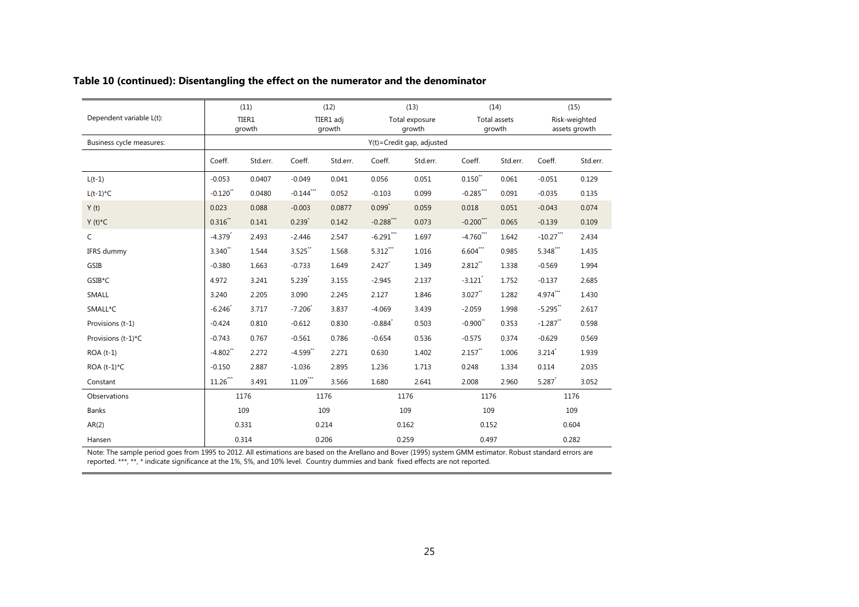|                          |                       | (11)            |             | (12)                |                       | (13)                      |                        | (14)                          |              | (15)                           |
|--------------------------|-----------------------|-----------------|-------------|---------------------|-----------------------|---------------------------|------------------------|-------------------------------|--------------|--------------------------------|
| Dependent variable L(t): |                       | TIER1<br>growth |             | TIER1 adj<br>growth |                       | Total exposure<br>growth  |                        | <b>Total assets</b><br>growth |              | Risk-weighted<br>assets growth |
| Business cycle measures: |                       |                 |             |                     |                       | Y(t)=Credit gap, adjusted |                        |                               |              |                                |
|                          | Coeff.                | Std.err.        | Coeff.      | Std.err.            | Coeff.                | Std.err.                  | Coeff.                 | Std.err.                      | Coeff.       | Std.err.                       |
| $L(t-1)$                 | $-0.053$              | 0.0407          | $-0.049$    | 0.041               | 0.056                 | 0.051                     | $0.150^{\ast\ast}$     | 0.061                         | $-0.051$     | 0.129                          |
| $L(t-1)*C$               | $-0.120$ **           | 0.0480          | $-0.144***$ | 0.052               | $-0.103$              | 0.099                     | $-0.285***$            | 0.091                         | $-0.035$     | 0.135                          |
| Y(t)                     | 0.023                 | 0.088           | $-0.003$    | 0.0877              | $0.099*$              | 0.059                     | 0.018                  | 0.051                         | $-0.043$     | 0.074                          |
| $Y(t)^*C$                | $0.316$ **            | 0.141           | $0.239$ *   | 0.142               | $-0.288***$           | 0.073                     | $-0.200$ ***           | 0.065                         | $-0.139$     | 0.109                          |
| $\mathsf{C}$             | $-4.379$ <sup>*</sup> | 2.493           | $-2.446$    | 2.547               | $-6.291***$           | 1.697                     | $-4.760$ ***           | 1.642                         | $-10.27$ *** | 2.434                          |
| IFRS dummy               | 3.340**               | 1.544           | $3.525$ **  | 1.568               | $5.312***$            | 1.016                     | $6.604***$             | 0.985                         | 5.348***     | 1.435                          |
| GSIB                     | $-0.380$              | 1.663           | $-0.733$    | 1.649               | 2.427                 | 1.349                     | $2.812$ **             | 1.338                         | $-0.569$     | 1.994                          |
| GSIB*C                   | 4.972                 | 3.241           | 5.239       | 3.155               | $-2.945$              | 2.137                     | $-3.121$               | 1.752                         | $-0.137$     | 2.685                          |
| SMALL                    | 3.240                 | 2.205           | 3.090       | 2.245               | 2.127                 | 1.846                     | $3.027$ **             | 1.282                         | $4.974***$   | 1.430                          |
| SMALL*C                  | $-6.246$ <sup>*</sup> | 3.717           | $-7.206$    | 3.837               | $-4.069$              | 3.439                     | $-2.059$               | 1.998                         | $-5.295$ **  | 2.617                          |
| Provisions (t-1)         | $-0.424$              | 0.810           | $-0.612$    | 0.830               | $-0.884$ <sup>*</sup> | 0.503                     | $-0.900$ <sup>**</sup> | 0.353                         | $-1.287$ **  | 0.598                          |
| Provisions (t-1)*C       | $-0.743$              | 0.767           | $-0.561$    | 0.786               | $-0.654$              | 0.536                     | $-0.575$               | 0.374                         | $-0.629$     | 0.569                          |
| ROA (t-1)                | $-4.802$ **           | 2.272           | $-4.599$ ** | 2.271               | 0.630                 | 1.402                     | $2.157$ **             | 1.006                         | 3.214        | 1.939                          |
| ROA $(t-1)^{\star}C$     | $-0.150$              | 2.887           | $-1.036$    | 2.895               | 1.236                 | 1.713                     | 0.248                  | 1.334                         | 0.114        | 2.035                          |
| Constant                 | $11.26***$            | 3.491           | $11.09***$  | 3.566               | 1.680                 | 2.641                     | 2.008                  | 2.960                         | 5.287        | 3.052                          |
| Observations             |                       | 1176            |             | 1176                | 1176                  |                           | 1176                   |                               |              | 1176                           |
| Banks                    |                       | 109             |             | 109                 | 109                   |                           | 109                    |                               |              | 109                            |
| AR(2)                    |                       | 0.331           |             | 0.214               | 0.162                 |                           | 0.152                  |                               |              | 0.604                          |
| Hansen                   |                       | 0.314           |             | 0.206               | 0.259                 |                           | 0.497                  |                               |              | 0.282                          |

### **Table 10 (continued): Disentangling the effect on the numerator and the denominator**

Note: The sample period goes from 1995 to 2012. All estimations are based on the Arellano and Bover (1995) system GMM estimator. Robust standard errors are reported. \*\*\*, \*\*, \* indicate significance at the 1%, 5%, and 10% level. Country dummies and bank fixed effects are not reported.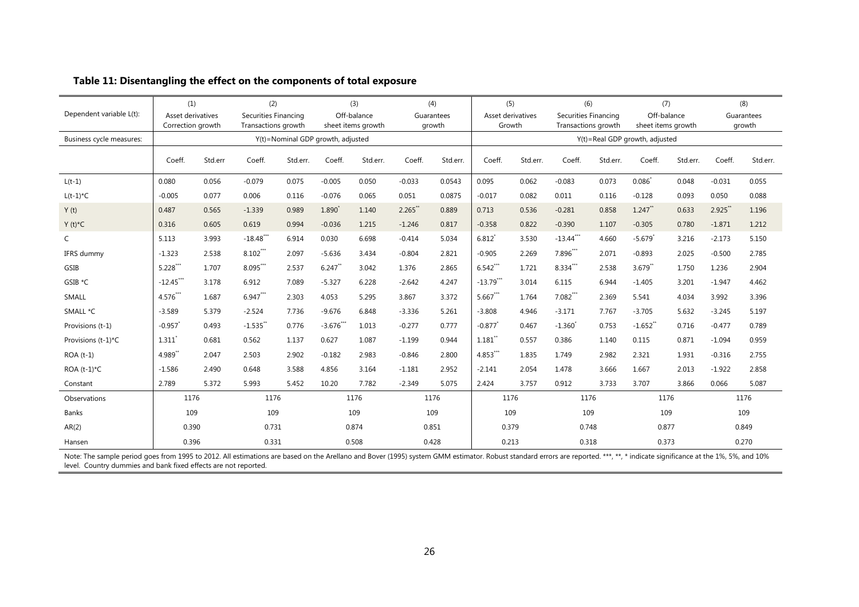|                          | (1)               |                                          | (2)                               |          | (3)                          |                | (4)        |          | (5)                 |                                | (6)                  |          | (7)                   |          | (8)        |          |
|--------------------------|-------------------|------------------------------------------|-----------------------------------|----------|------------------------------|----------------|------------|----------|---------------------|--------------------------------|----------------------|----------|-----------------------|----------|------------|----------|
| Dependent variable L(t): | Asset derivatives |                                          | Securities Financing              |          | Off-balance                  |                | Guarantees |          | Asset derivatives   |                                | Securities Financing |          | Off-balance           |          | Guarantees |          |
|                          |                   | Transactions growth<br>Correction growth |                                   |          | sheet items growth<br>growth |                | Growth     |          | Transactions growth |                                | sheet items growth   |          | growth                |          |            |          |
| Business cycle measures: |                   |                                          | Y(t)=Nominal GDP growth, adjusted |          |                              |                |            |          |                     | Y(t)=Real GDP growth, adjusted |                      |          |                       |          |            |          |
|                          | Coeff.            | Std.err                                  | Coeff.                            | Std.err. | Coeff.                       | Std.err.       | Coeff.     | Std.err. | Coeff.              | Std.err.                       | Coeff.               | Std.err. | Coeff.                | Std.err. | Coeff.     | Std.err. |
| $L(t-1)$                 | 0.080             | 0.056                                    | $-0.079$                          | 0.075    | $-0.005$                     | 0.050          | $-0.033$   | 0.0543   | 0.095               | 0.062                          | $-0.083$             | 0.073    | $0.086*$              | 0.048    | $-0.031$   | 0.055    |
| $L(t-1)*C$               | $-0.005$          | 0.077                                    | 0.006                             | 0.116    | $-0.076$                     | 0.065          | 0.051      | 0.0875   | $-0.017$            | 0.082                          | 0.011                | 0.116    | $-0.128$              | 0.093    | 0.050      | 0.088    |
| Y(t)                     | 0.487             | 0.565                                    | $-1.339$                          | 0.989    | 1.890                        | 1.140          | 2.265      | 0.889    | 0.713               | 0.536                          | $-0.281$             | 0.858    | $1.247$ **            | 0.633    | 2.925      | 1.196    |
| $Y(t)^*C$                | 0.316             | 0.605                                    | 0.619                             | 0.994    | $-0.036$                     | 1.215          | $-1.246$   | 0.817    | $-0.358$            | 0.822                          | $-0.390$             | 1.107    | $-0.305$              | 0.780    | $-1.871$   | 1.212    |
| $\mathsf{C}$             | 5.113             | 3.993                                    | $-18.48$ ***                      | 6.914    | 0.030                        | 6.698          | $-0.414$   | 5.034    | 6.812               | 3.530                          | $-13.44$ ***         | 4.660    | $-5.679$              | 3.216    | $-2.173$   | 5.150    |
| IFRS dummy               | $-1.323$          | 2.538                                    | $8.102$ ***                       | 2.097    | $-5.636$                     | 3.434          | $-0.804$   | 2.821    | $-0.905$            | 2.269                          | 7.896**              | 2.071    | $-0.893$              | 2.025    | $-0.500$   | 2.785    |
| GSIB                     | $5.228***$        | 1.707                                    | $8.095***$                        | 2.537    | $6.247$ **                   | 3.042          | 1.376      | 2.865    | $6.542***$          | 1.721                          | 8.334***             | 2.538    | $3.679$ **            | 1.750    | 1.236      | 2.904    |
| GSIB *C                  | $-12.45$ **       | 3.178                                    | 6.912                             | 7.089    | $-5.327$                     | 6.228          | $-2.642$   | 4.247    | $-13.79***$         | 3.014                          | 6.115                | 6.944    | $-1.405$              | 3.201    | $-1.947$   | 4.462    |
| <b>SMALL</b>             | 4.576**           | 1.687                                    | 6.947***                          | 2.303    | 4.053                        | 5.295          | 3.867      | 3.372    | $5.667***$          | 1.764                          | $7.082***$           | 2.369    | 5.541                 | 4.034    | 3.992      | 3.396    |
| SMALL *C                 | $-3.589$          | 5.379                                    | $-2.524$                          | 7.736    | $-9.676$                     | 6.848          | $-3.336$   | 5.261    | $-3.808$            | 4.946                          | $-3.171$             | 7.767    | $-3.705$              | 5.632    | $-3.245$   | 5.197    |
| Provisions (t-1)         | $-0.957$          | 0.493                                    | $-1.535$ <sup>*</sup>             | 0.776    | $-3.676$ **                  | 1.013          | $-0.277$   | 0.777    | $-0.877$            | 0.467                          | $-1.360'$            | 0.753    | $-1.652$ <sup>*</sup> | 0.716    | $-0.477$   | 0.789    |
| Provisions (t-1)*C       | 1.311             | 0.681                                    | 0.562                             | 1.137    | 0.627                        | 1.087          | $-1.199$   | 0.944    | 1.181               | 0.557                          | 0.386                | 1.140    | 0.115                 | 0.871    | $-1.094$   | 0.959    |
| $ROA(t-1)$               | 4.989"            | 2.047                                    | 2.503                             | 2.902    | $-0.182$                     | 2.983          | $-0.846$   | 2.800    | 4.853***            | 1.835                          | 1.749                | 2.982    | 2.321                 | 1.931    | $-0.316$   | 2.755    |
| ROA $(t-1)^{\star}C$     | $-1.586$          | 2.490                                    | 0.648                             | 3.588    | 4.856                        | 3.164          | $-1.181$   | 2.952    | $-2.141$            | 2.054                          | 1.478                | 3.666    | 1.667                 | 2.013    | $-1.922$   | 2.858    |
| Constant                 | 2.789             | 5.372                                    | 5.993                             | 5.452    | 10.20                        | 7.782          | $-2.349$   | 5.075    | 2.424               | 3.757                          | 0.912                | 3.733    | 3.707                 | 3.866    | 0.066      | 5.087    |
| Observations             | 1176              |                                          | 1176                              |          | 1176                         |                | 1176       |          | 1176                |                                | 1176                 |          | 1176                  |          | 1176       |          |
| <b>Banks</b>             | 109               |                                          | 109                               |          | 109                          |                | 109        |          | 109                 |                                | 109                  |          | 109                   |          | 109        |          |
| AR(2)                    | 0.390             |                                          | 0.731<br>0.874                    |          |                              | 0.851          |            | 0.379    |                     | 0.748                          |                      | 0.877    |                       | 0.849    |            |          |
| Hansen                   |                   | 0.396                                    |                                   | 0.331    |                              | 0.508<br>0.428 |            |          | 0.213               |                                | 0.318                |          | 0.373                 |          | 0.270      |          |

Note: The sample period goes from 1995 to 2012. All estimations are based on the Arellano and Bover (1995) system GMM estimator. Robust standard errors are reported. \*\*\*, \*\*, \* indicate significance at the 1%, 5%, and 10% level. Country dummies and bank fixed effects are not reported.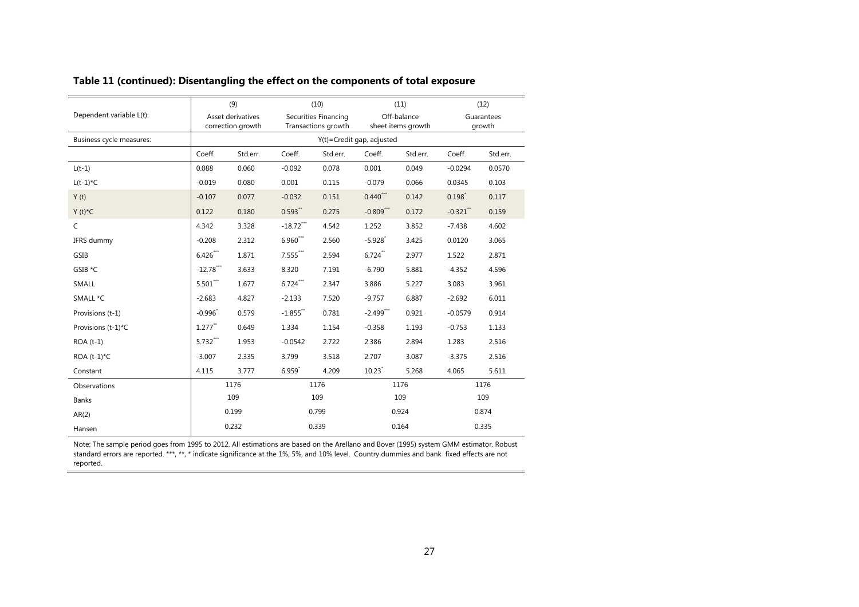|                          |                        | (9)      |                      | (10)                 |                              | (11)               | (12)        |          |  |  |
|--------------------------|------------------------|----------|----------------------|----------------------|------------------------------|--------------------|-------------|----------|--|--|
| Dependent variable L(t): | Asset derivatives      |          |                      | Securities Financing |                              | Off-balance        | Guarantees  |          |  |  |
|                          | correction growth      |          |                      | Transactions growth  |                              | sheet items growth |             | growth   |  |  |
| Business cycle measures: |                        |          |                      |                      | $Y(t)$ =Credit gap, adjusted |                    |             |          |  |  |
|                          | Coeff.                 | Std.err. | Coeff.               | Std.err.             | Coeff.                       | Std.err.           | Coeff.      | Std.err. |  |  |
| $L(t-1)$                 | 0.088                  | 0.060    | $-0.092$             | 0.078                | 0.001                        | 0.049              | $-0.0294$   | 0.0570   |  |  |
| $L(t-1)^{\star}C$        | $-0.019$               | 0.080    | 0.001                | 0.115                | $-0.079$                     | 0.066              | 0.0345      | 0.103    |  |  |
| Y(t)                     | $-0.107$               | 0.077    | $-0.032$             | 0.151                | $0.440***$                   | 0.142              | $0.198^{*}$ | 0.117    |  |  |
| $Y(t)^*C$                | 0.122                  | 0.180    | $0.593**$            | 0.275                | $-0.809***$                  | 0.172              | $-0.321$ ** | 0.159    |  |  |
| $\mathsf{C}$             | 4.342                  | 3.328    | $-18.72***$          | 4.542                | 1.252                        | 3.852              | $-7.438$    | 4.602    |  |  |
| IFRS dummy               | $-0.208$               | 2.312    | $6.960***$           | 2.560                | $-5.928$ <sup>*</sup>        | 3.425              | 0.0120      | 3.065    |  |  |
| GSIB                     | $6.426***$             | 1.871    | $7.555***$           | 2.594                | $6.724$ **                   | 2.977              | 1.522       | 2.871    |  |  |
| GSIB *C                  | $-12.78***$            | 3.633    | 8.320                | 7.191                | $-6.790$                     | 5.881              | $-4.352$    | 4.596    |  |  |
| <b>SMALL</b>             | $5.501^{\ast\ast\ast}$ | 1.677    | $6.724***$           | 2.347                | 3.886                        | 5.227              | 3.083       | 3.961    |  |  |
| SMALL *C                 | $-2.683$               | 4.827    | $-2.133$             | 7.520                | $-9.757$                     | 6.887              | $-2.692$    | 6.011    |  |  |
| Provisions (t-1)         | $-0.996^{*}$           | 0.579    | $-1.855$ **          | 0.781                | $-2.499$ ***                 | 0.921              | $-0.0579$   | 0.914    |  |  |
| Provisions (t-1)*C       | $1.277$ <sup>**</sup>  | 0.649    | 1.334                | 1.154                | $-0.358$                     | 1.193              | $-0.753$    | 1.133    |  |  |
| $ROA(t-1)$               | $5.732***$             | 1.953    | $-0.0542$            | 2.722                | 2.386                        | 2.894              | 1.283       | 2.516    |  |  |
| ROA $(t-1)^{\star}C$     | $-3.007$               | 2.335    | 3.799                | 3.518                | 2.707                        | 3.087              | $-3.375$    | 2.516    |  |  |
| Constant                 | 4.115                  | 3.777    | $6.959$ <sup>*</sup> | 4.209                | $10.23$ <sup>*</sup>         | 5.268              | 4.065       | 5.611    |  |  |
| Observations             |                        | 1176     | 1176                 |                      | 1176                         |                    | 1176        |          |  |  |
| <b>Banks</b>             |                        | 109      | 109                  |                      | 109                          |                    | 109         |          |  |  |
| AR(2)                    | 0.199                  |          | 0.799                |                      | 0.924                        |                    | 0.874       |          |  |  |
| Hansen                   |                        | 0.232    | 0.339                |                      | 0.164                        |                    | 0.335       |          |  |  |

### **Table 11 (continued): Disentangling the effect on the components of total exposure**

Note: The sample period goes from 1995 to 2012. All estimations are based on the Arellano and Bover (1995) system GMM estimator. Robust standard errors are reported. \*\*\*, \*\*, \* indicate significance at the 1%, 5%, and 10% level. Country dummies and bank fixed effects are not reported.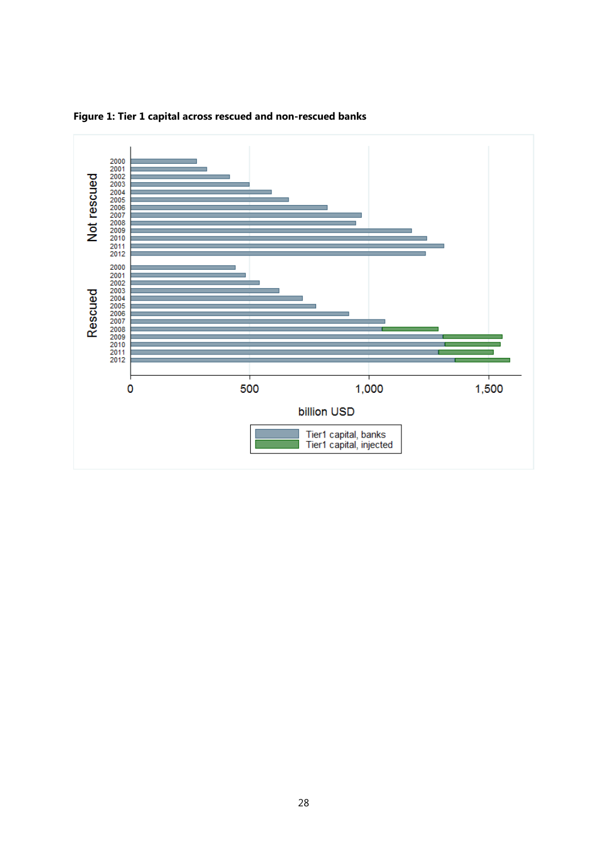

**Figure 1: Tier 1 capital across rescued and non-rescued banks**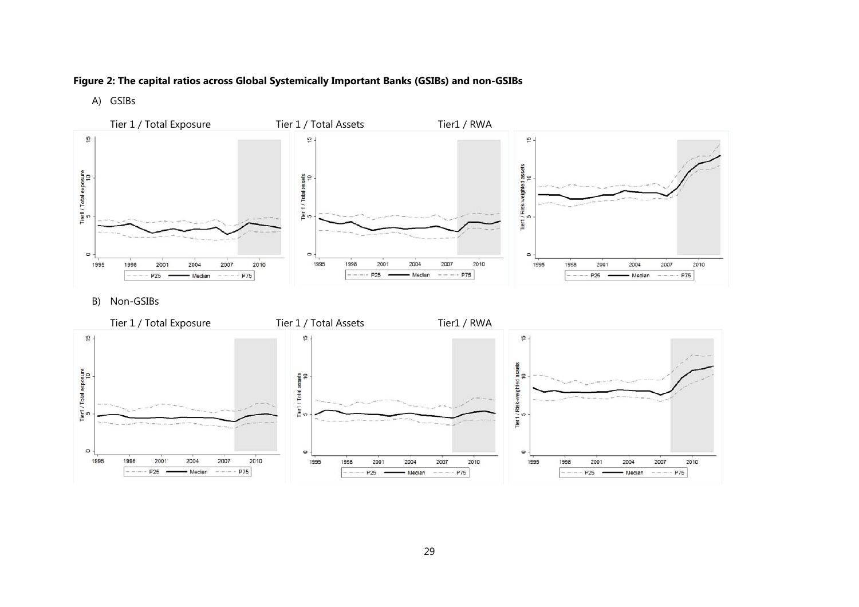### **Figure 2: The capital ratios across Global Systemically Important Banks (GSIBs) and non-GSIBs**

A) GSIBs



B) Non-GSIBs

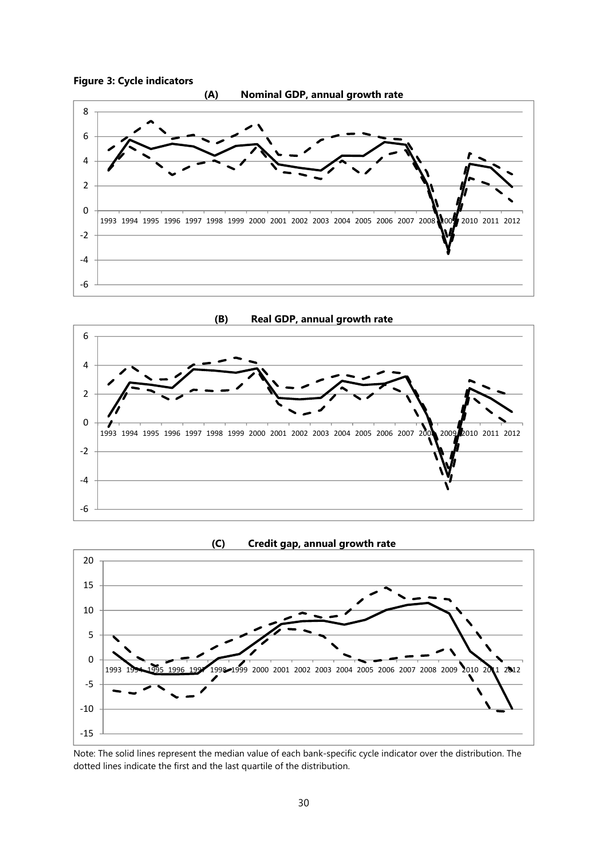





Note: The solid lines represent the median value of each bank-specific cycle indicator over the distribution. The dotted lines indicate the first and the last quartile of the distribution.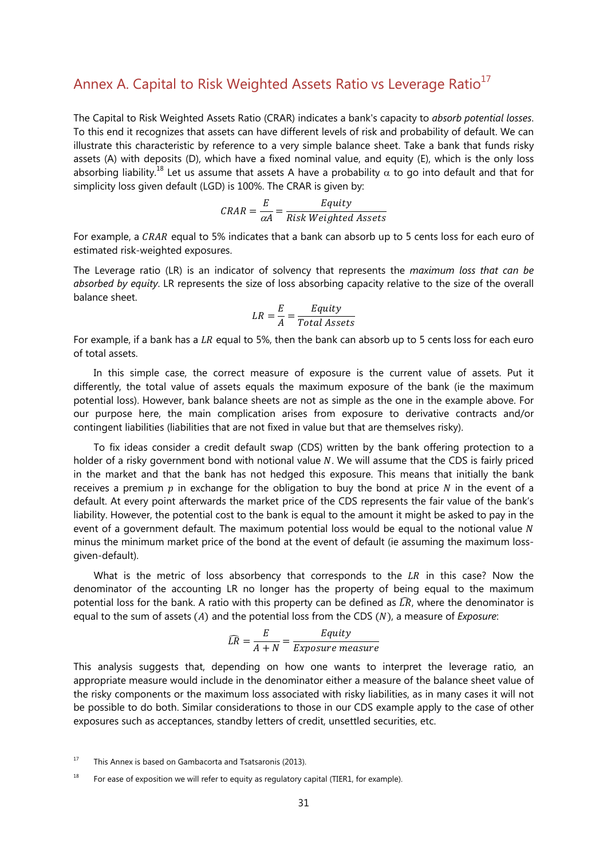# Annex A. Capital to Risk Weighted Assets Ratio vs Leverage Ratio<sup>17</sup>

The Capital to Risk Weighted Assets Ratio (CRAR) indicates a bank's capacity to *absorb potential losses*. To this end it recognizes that assets can have different levels of risk and probability of default. We can illustrate this characteristic by reference to a very simple balance sheet. Take a bank that funds risky assets (A) with deposits (D), which have a fixed nominal value, and equity (E), which is the only loss absorbing liability.<sup>18</sup> Let us assume that assets A have a probability  $\alpha$  to go into default and that for simplicity loss given default (LGD) is 100%. The CRAR is given by:

$$
CRAR = \frac{E}{\alpha A} = \frac{Equity}{Risk Weighted Assets}
$$

For example, a CRAR equal to 5% indicates that a bank can absorb up to 5 cents loss for each euro of estimated risk-weighted exposures.

The Leverage ratio (LR) is an indicator of solvency that represents the *maximum loss that can be absorbed by equity*. LR represents the size of loss absorbing capacity relative to the size of the overall balance sheet.

$$
LR = \frac{E}{A} = \frac{Equity}{Total\,\,Assets}
$$

For example, if a bank has a  $LR$  equal to 5%, then the bank can absorb up to 5 cents loss for each euro of total assets.

In this simple case, the correct measure of exposure is the current value of assets. Put it differently, the total value of assets equals the maximum exposure of the bank (ie the maximum potential loss). However, bank balance sheets are not as simple as the one in the example above. For our purpose here, the main complication arises from exposure to derivative contracts and/or contingent liabilities (liabilities that are not fixed in value but that are themselves risky).

To fix ideas consider a credit default swap (CDS) written by the bank offering protection to a holder of a risky government bond with notional value N. We will assume that the CDS is fairly priced in the market and that the bank has not hedged this exposure. This means that initially the bank receives a premium  $p$  in exchange for the obligation to buy the bond at price  $N$  in the event of a default. At every point afterwards the market price of the CDS represents the fair value of the bank's liability. However, the potential cost to the bank is equal to the amount it might be asked to pay in the event of a government default. The maximum potential loss would be equal to the notional value  $N$ minus the minimum market price of the bond at the event of default (ie assuming the maximum lossgiven-default).

What is the metric of loss absorbency that corresponds to the  $LR$  in this case? Now the denominator of the accounting LR no longer has the property of being equal to the maximum potential loss for the bank. A ratio with this property can be defined as  $\widehat{LR}$ , where the denominator is equal to the sum of assets (A) and the potential loss from the CDS (N), a measure of *Exposure*:

$$
\widehat{LR} = \frac{E}{A+N} = \frac{Equity}{Exposure\ measure}
$$

This analysis suggests that, depending on how one wants to interpret the leverage ratio, an appropriate measure would include in the denominator either a measure of the balance sheet value of the risky components or the maximum loss associated with risky liabilities, as in many cases it will not be possible to do both. Similar considerations to those in our CDS example apply to the case of other exposures such as acceptances, standby letters of credit, unsettled securities, etc.

 $17$  This Annex is based on Gambacorta and Tsatsaronis (2013).

<sup>&</sup>lt;sup>18</sup> For ease of exposition we will refer to equity as regulatory capital (TIER1, for example).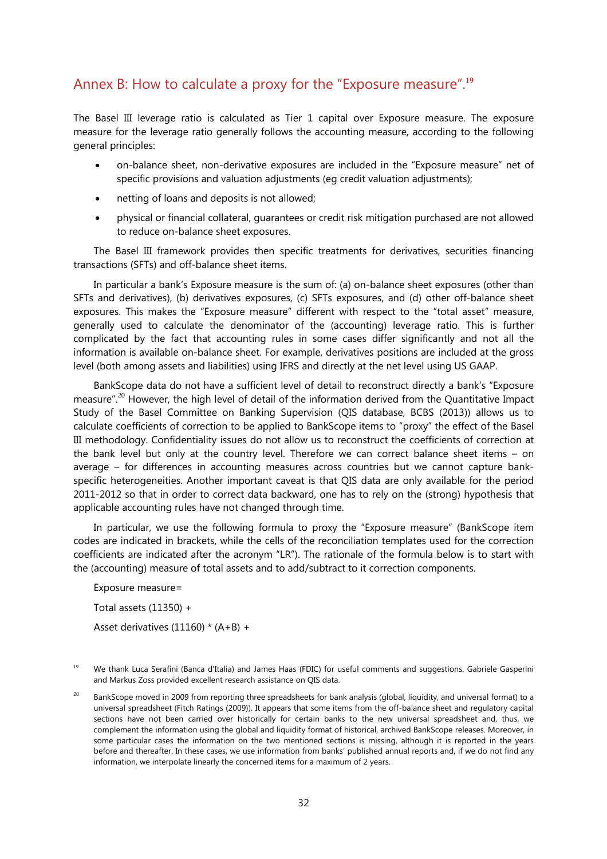# Annex B: How to calculate a proxy for the "Exposure measure".**<sup>19</sup>**

The Basel III leverage ratio is calculated as Tier 1 capital over Exposure measure. The exposure measure for the leverage ratio generally follows the accounting measure, according to the following general principles:

- on-balance sheet, non-derivative exposures are included in the "Exposure measure" net of specific provisions and valuation adjustments (eg credit valuation adjustments);
- netting of loans and deposits is not allowed;
- physical or financial collateral, guarantees or credit risk mitigation purchased are not allowed to reduce on-balance sheet exposures.

The Basel III framework provides then specific treatments for derivatives, securities financing transactions (SFTs) and off-balance sheet items.

In particular a bank's Exposure measure is the sum of: (a) on-balance sheet exposures (other than SFTs and derivatives), (b) derivatives exposures, (c) SFTs exposures, and (d) other off-balance sheet exposures. This makes the "Exposure measure" different with respect to the "total asset" measure, generally used to calculate the denominator of the (accounting) leverage ratio. This is further complicated by the fact that accounting rules in some cases differ significantly and not all the information is available on-balance sheet. For example, derivatives positions are included at the gross level (both among assets and liabilities) using IFRS and directly at the net level using US GAAP.

BankScope data do not have a sufficient level of detail to reconstruct directly a bank's "Exposure measure".<sup>20</sup> However, the high level of detail of the information derived from the Quantitative Impact Study of the Basel Committee on Banking Supervision (QIS database, BCBS (2013)) allows us to calculate coefficients of correction to be applied to BankScope items to "proxy" the effect of the Basel III methodology. Confidentiality issues do not allow us to reconstruct the coefficients of correction at the bank level but only at the country level. Therefore we can correct balance sheet items – on average – for differences in accounting measures across countries but we cannot capture bankspecific heterogeneities. Another important caveat is that QIS data are only available for the period 2011-2012 so that in order to correct data backward, one has to rely on the (strong) hypothesis that applicable accounting rules have not changed through time.

In particular, we use the following formula to proxy the "Exposure measure" (BankScope item codes are indicated in brackets, while the cells of the reconciliation templates used for the correction coefficients are indicated after the acronym "LR"). The rationale of the formula below is to start with the (accounting) measure of total assets and to add/subtract to it correction components.

Exposure measure= Total assets  $(11350) +$ Asset derivatives (11160) \* (A+B) +

<sup>&</sup>lt;sup>19</sup> We thank Luca Serafini (Banca d'Italia) and James Haas (FDIC) for useful comments and suggestions. Gabriele Gasperini and Markus Zoss provided excellent research assistance on QIS data.

<sup>&</sup>lt;sup>20</sup> BankScope moved in 2009 from reporting three spreadsheets for bank analysis (global, liquidity, and universal format) to a universal spreadsheet (Fitch Ratings (2009)). It appears that some items from the off-balance sheet and regulatory capital sections have not been carried over historically for certain banks to the new universal spreadsheet and, thus, we complement the information using the global and liquidity format of historical, archived BankScope releases. Moreover, in some particular cases the information on the two mentioned sections is missing, although it is reported in the years before and thereafter. In these cases, we use information from banks' published annual reports and, if we do not find any information, we interpolate linearly the concerned items for a maximum of 2 years.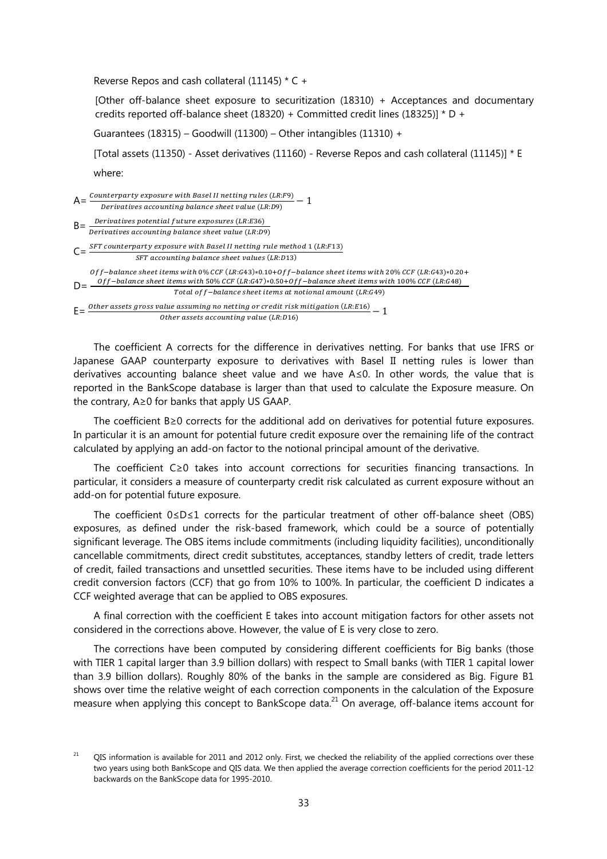Reverse Repos and cash collateral (11145) \* C +

[Other off-balance sheet exposure to securitization (18310) + Acceptances and documentary credits reported off-balance sheet (18320) + Committed credit lines (18325)] \* D +

Guarantees (18315) – Goodwill (11300) – Other intangibles (11310) +

[Total assets (11350) - Asset derivatives (11160) - Reverse Repos and cash collateral (11145)] \* E where:

 $A = \frac{Counterparty\ exposure\ with\ Based\ II\ netting\ rules\ (LR: F9)}{L}{\rm\ P} = 1$ Derivatives accounting balance sheet value (LR:D9)  $B = \frac{Derivatives potential future exposures (LR: E36)}{Derivatives accounting balance sheet value (LR: D9)}$  $C = \frac{SFT\ country\ exposure\ with\ Basel\ II\ netting\ rule\ method\ 1\ (LR: F13)}$ SFT accounting balance sheet values (LR:D13)  $D = \frac{Off-balance\ sheet\ items\ with\ 50\%\ CCF\ (LR:647)*0.50+Off-balance\ sheet\ items\ with\ 100\%\ CCF\ (LR:648)}{P_{\text{total}}(SE\ kbar)_{\text{RUS}}\ kbar}$ Off-balance sheet items with 0% CCF (LR:G43)∗0.10+Off-balance sheet items with 20% CCF (LR:G43)∗0.20+ Total of f-balance sheet items at notional amount (LR:G49)  $E = \frac{Other\; assets\;gross\;value\; assuming\; no\; netting\; or\; credit\; risk\;mitigation\; (LR:E16)}{Other\; assets\;accounting\; value\; (LR:E16)} - 1$ 

The coefficient A corrects for the difference in derivatives netting. For banks that use IFRS or Japanese GAAP counterparty exposure to derivatives with Basel II netting rules is lower than derivatives accounting balance sheet value and we have A≤0. In other words, the value that is reported in the BankScope database is larger than that used to calculate the Exposure measure. On the contrary, A≥0 for banks that apply US GAAP.

The coefficient B≥0 corrects for the additional add on derivatives for potential future exposures. In particular it is an amount for potential future credit exposure over the remaining life of the contract calculated by applying an add-on factor to the notional principal amount of the derivative.

The coefficient C≥0 takes into account corrections for securities financing transactions. In particular, it considers a measure of counterparty credit risk calculated as current exposure without an add-on for potential future exposure.

The coefficient 0≤D≤1 corrects for the particular treatment of other off-balance sheet (OBS) exposures, as defined under the risk-based framework, which could be a source of potentially significant leverage. The OBS items include commitments (including liquidity facilities), unconditionally cancellable commitments, direct credit substitutes, acceptances, standby letters of credit, trade letters of credit, failed transactions and unsettled securities. These items have to be included using different credit conversion factors (CCF) that go from 10% to 100%. In particular, the coefficient D indicates a CCF weighted average that can be applied to OBS exposures.

A final correction with the coefficient E takes into account mitigation factors for other assets not considered in the corrections above. However, the value of E is very close to zero.

The corrections have been computed by considering different coefficients for Big banks (those with TIER 1 capital larger than 3.9 billion dollars) with respect to Small banks (with TIER 1 capital lower than 3.9 billion dollars). Roughly 80% of the banks in the sample are considered as Big. Figure B1 shows over time the relative weight of each correction components in the calculation of the Exposure measure when applying this concept to BankScope data.<sup>21</sup> On average, off-balance items account for

 $21$  QIS information is available for 2011 and 2012 only. First, we checked the reliability of the applied corrections over these two years using both BankScope and QIS data. We then applied the average correction coefficients for the period 2011-12 backwards on the BankScope data for 1995-2010.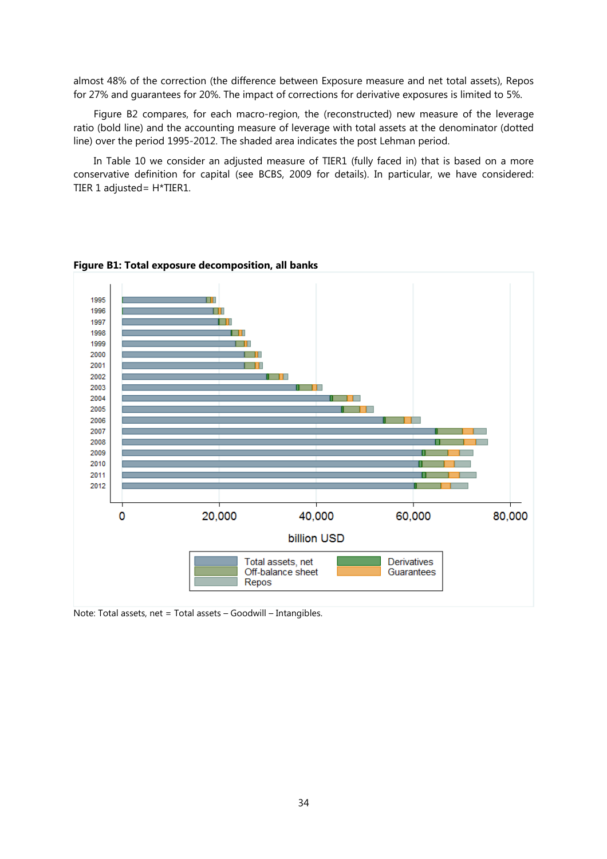almost 48% of the correction (the difference between Exposure measure and net total assets), Repos for 27% and guarantees for 20%. The impact of corrections for derivative exposures is limited to 5%.

Figure B2 compares, for each macro-region, the (reconstructed) new measure of the leverage ratio (bold line) and the accounting measure of leverage with total assets at the denominator (dotted line) over the period 1995-2012. The shaded area indicates the post Lehman period.

In Table 10 we consider an adjusted measure of TIER1 (fully faced in) that is based on a more conservative definition for capital (see BCBS, 2009 for details). In particular, we have considered: TIER 1 adjusted= H\*TIER1.





Note: Total assets, net = Total assets – Goodwill – Intangibles.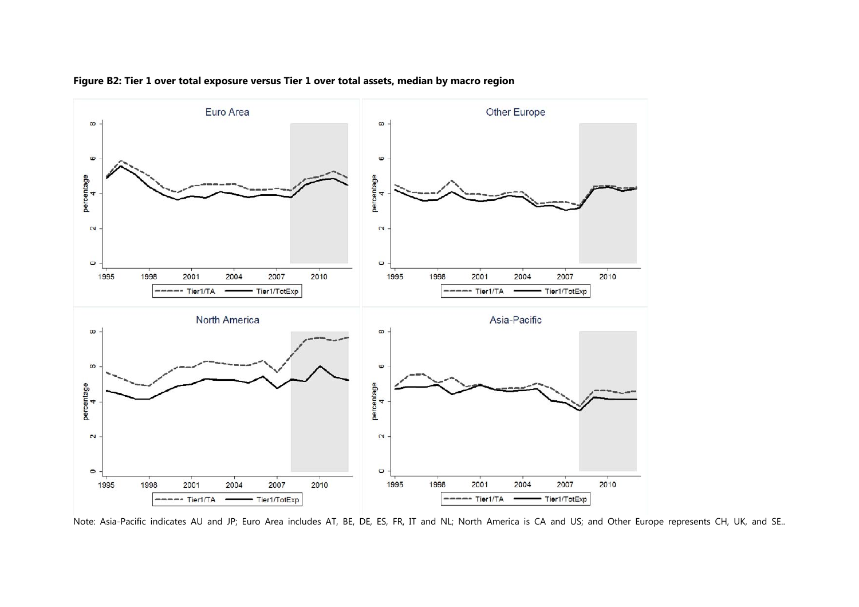

### **Figure B2: Tier 1 over total exposure versus Tier 1 over total assets, median by macro region**

Note: Asia-Pacific indicates AU and JP; Euro Area includes AT, BE, DE, ES, FR, IT and NL; North America is CA and US; and Other Europe represents CH, UK, and SE..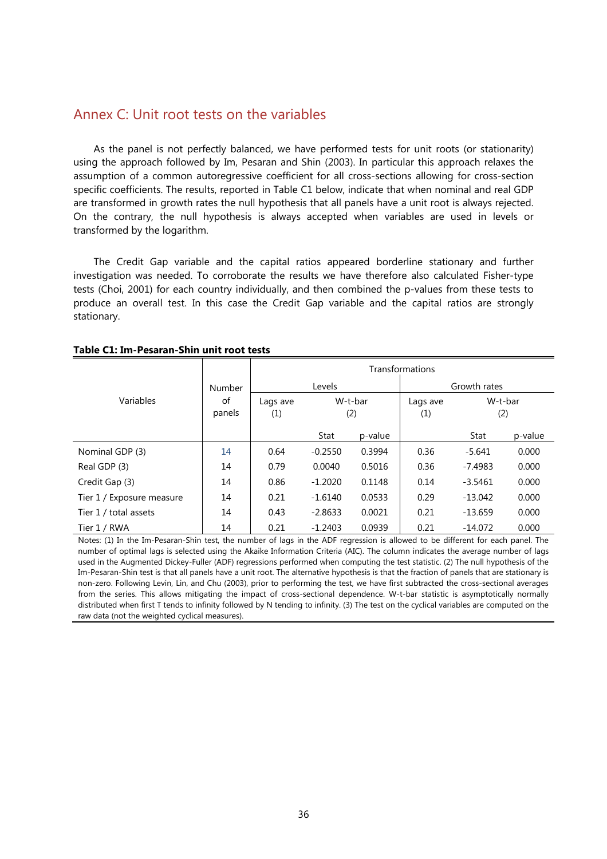## Annex C: Unit root tests on the variables

As the panel is not perfectly balanced, we have performed tests for unit roots (or stationarity) using the approach followed by Im, Pesaran and Shin (2003). In particular this approach relaxes the assumption of a common autoregressive coefficient for all cross-sections allowing for cross-section specific coefficients. The results, reported in Table C1 below, indicate that when nominal and real GDP are transformed in growth rates the null hypothesis that all panels have a unit root is always rejected. On the contrary, the null hypothesis is always accepted when variables are used in levels or transformed by the logarithm.

The Credit Gap variable and the capital ratios appeared borderline stationary and further investigation was needed. To corroborate the results we have therefore also calculated Fisher-type tests (Choi, 2001) for each country individually, and then combined the p-values from these tests to produce an overall test. In this case the Credit Gap variable and the capital ratios are strongly stationary.

|                           |               | Transformations |                |         |                                   |           |         |  |  |  |
|---------------------------|---------------|-----------------|----------------|---------|-----------------------------------|-----------|---------|--|--|--|
|                           | <b>Number</b> |                 | Levels         |         | Growth rates                      |           |         |  |  |  |
| Variables                 | of<br>panels  | Lags ave<br>(1) | W-t-bar<br>(2) |         | W-t-bar<br>Lags ave<br>(1)<br>(2) |           |         |  |  |  |
|                           |               |                 | Stat           | p-value |                                   | Stat      | p-value |  |  |  |
| Nominal GDP (3)           | 14            | 0.64            | $-0.2550$      | 0.3994  | 0.36                              | $-5.641$  | 0.000   |  |  |  |
| Real GDP (3)              | 14            | 0.79            | 0.0040         | 0.5016  | 0.36                              | $-7.4983$ | 0.000   |  |  |  |
| Credit Gap (3)            | 14            | 0.86            | $-1.2020$      | 0.1148  | 0.14                              | $-3.5461$ | 0.000   |  |  |  |
| Tier 1 / Exposure measure | 14            | 0.21            | $-1.6140$      | 0.0533  | 0.29                              | $-13.042$ | 0.000   |  |  |  |
| Tier 1 / total assets     | 14            | 0.43            | $-2.8633$      | 0.0021  | 0.21                              | $-13.659$ | 0.000   |  |  |  |
| Tier 1 / RWA              | 14            | 0.21            | $-1.2403$      | 0.0939  | 0.21                              | $-14.072$ | 0.000   |  |  |  |

#### **Table C1: Im-Pesaran-Shin unit root tests**

Notes: (1) In the Im-Pesaran-Shin test, the number of lags in the ADF regression is allowed to be different for each panel. The number of optimal lags is selected using the Akaike Information Criteria (AIC). The column indicates the average number of lags used in the Augmented Dickey-Fuller (ADF) regressions performed when computing the test statistic. (2) The null hypothesis of the Im-Pesaran-Shin test is that all panels have a unit root. The alternative hypothesis is that the fraction of panels that are stationary is non-zero. Following Levin, Lin, and Chu (2003), prior to performing the test, we have first subtracted the cross-sectional averages from the series. This allows mitigating the impact of cross-sectional dependence. W-t-bar statistic is asymptotically normally distributed when first T tends to infinity followed by N tending to infinity. (3) The test on the cyclical variables are computed on the raw data (not the weighted cyclical measures).